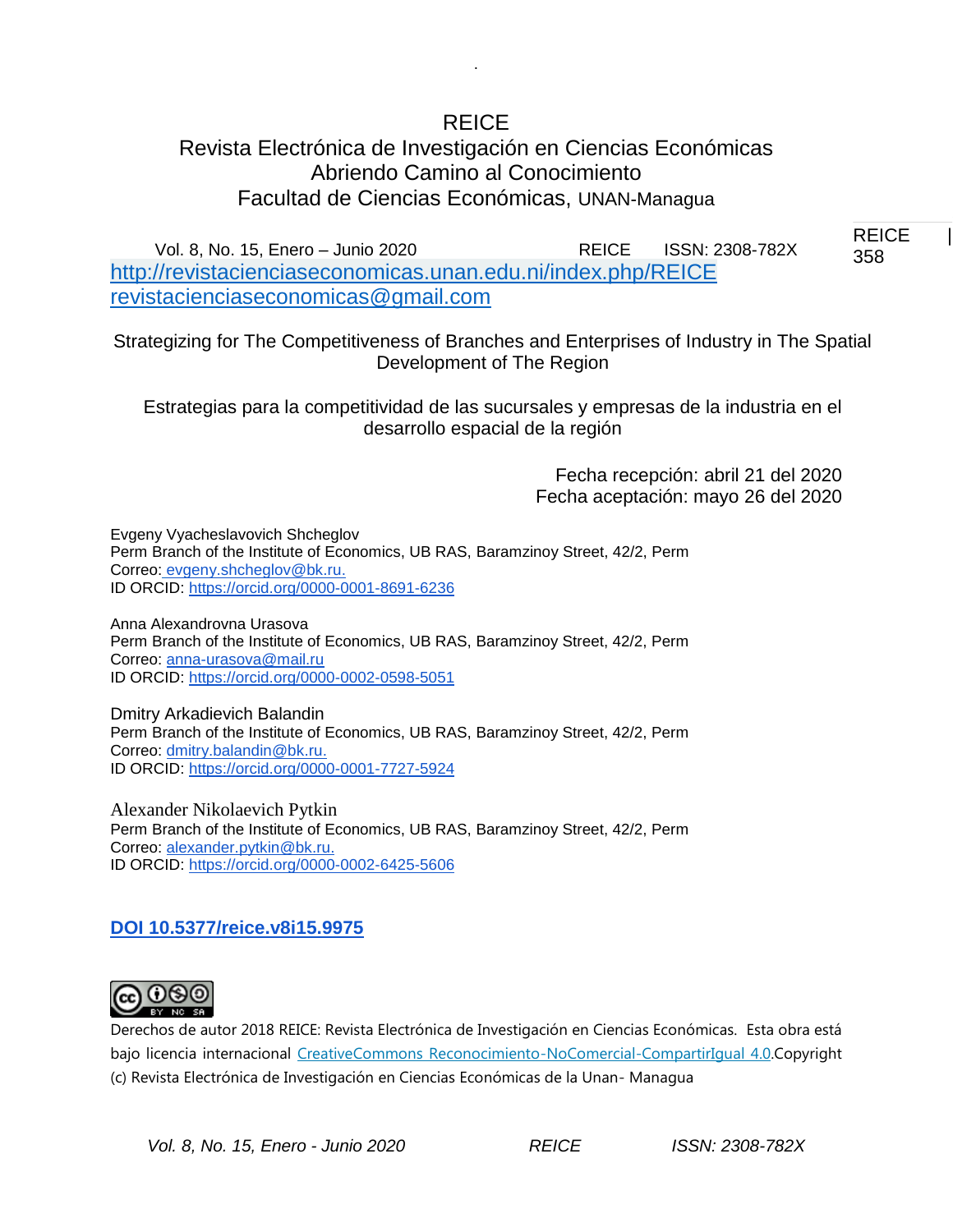# REICE

.

# Revista Electrónica de Investigación en Ciencias Económicas Abriendo Camino al Conocimiento Facultad de Ciencias Económicas, UNAN-Managua

REICE | 358 358 Vol. 8, No. 15, Enero – Junio 2020 REICE ISSN: 2308-782X <http://revistacienciaseconomicas.unan.edu.ni/index.php/REICE> [revistacienciaseconomicas@gmail.com](mailto:revistacienciaseconomicas@gmail.com)

Strategizing for The Competitiveness of Branches and Enterprises of Industry in The Spatial Development of The Region

Estrategias para la competitividad de las sucursales y empresas de la industria en el desarrollo espacial de la región

> Fecha recepción: abril 21 del 2020 Fecha aceptación: mayo 26 del 2020

Evgeny Vyacheslavovich Shcheglov Perm Branch of the Institute of Economics, UB RAS, Baramzinoy Street, 42/2, Perm Correo: [evgeny.shcheglov@bk.ru.](mailto:evgeny.shcheglov@bk.ru) ID ORCID: [https://orcid.org/0000-0001-8691-6236](https://orcid.org/0000-0002-9621-2117)

Anna Alexandrovna Urasova Perm Branch of the Institute of Economics, UB RAS, Baramzinoy Street, 42/2, Perm Correo: [anna-urasova@mail.ru](mailto:anna-urasova@mail.ru) ID ORCID: [https://orcid.org/0000-0002-0598-5051](https://orcid.org/0000-0002-9621-2117)

Dmitry Arkadievich Balandin Perm Branch of the Institute of Economics, UB RAS, Baramzinoy Street, 42/2, Perm Correo: [dmitry.balandin@bk.ru.](mailto:dmitry.balandin@bk.ru) ID ORCID: [https://orcid.org/0000-0001-7727-5924](https://orcid.org/0000-0002-9621-2117)

Alexander Nikolaevich Pytkin Perm Branch of the Institute of Economics, UB RAS, Baramzinoy Street, 42/2, Perm Correo: [alexander.pytkin@bk.ru.](mailto:alexander.pytkin@bk.ru) ID ORCID: [https://orcid.org/0000-0002-6425-5606](https://orcid.org/0000-0002-9621-2117)

# **DOI 10.5377/reice.v8i15.9975**



Derechos de autor 2018 REICE: Revista Electrónica de Investigación en Ciencias Económicas. Esta obra está bajo licencia internacional [CreativeCommons Reconocimiento-NoComercial-CompartirIgual 4.0.C](http://creativecommons.org/licenses/by-nc-sa/4.0/)opyright (c) Revista Electrónica de Investigación en Ciencias Económicas de la Unan- Managua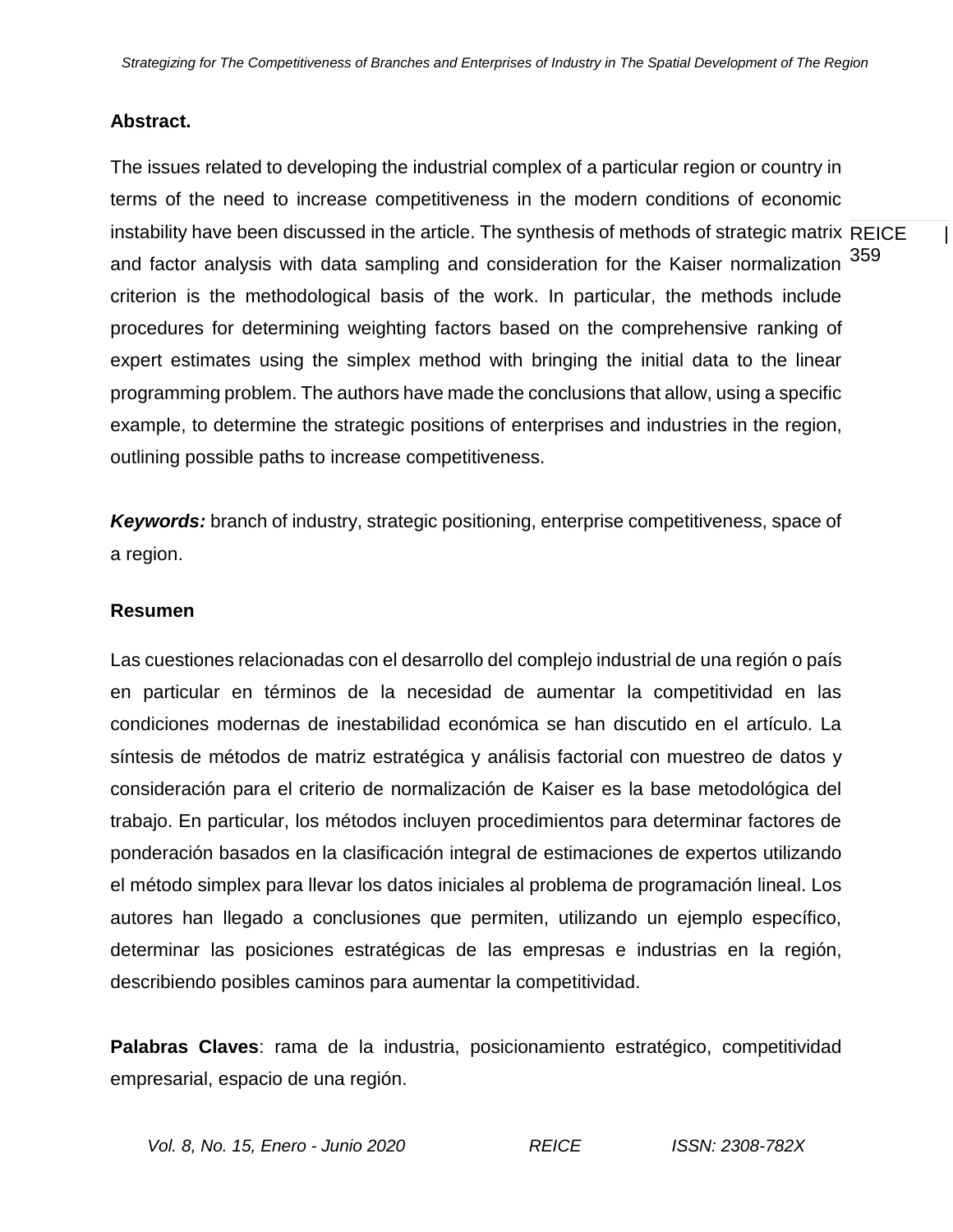### **Abstract.**

instability have been discussed in the article. The synthesis of methods of strategic matrix REICE  $\qquad \mid$ and factor analysis with data sampling and consideration for the Kaiser normalization <sup>359</sup> The issues related to developing the industrial complex of a particular region or country in terms of the need to increase competitiveness in the modern conditions of economic criterion is the methodological basis of the work. In particular, the methods include procedures for determining weighting factors based on the comprehensive ranking of expert estimates using the simplex method with bringing the initial data to the linear programming problem. The authors have made the conclusions that allow, using a specific example, to determine the strategic positions of enterprises and industries in the region, outlining possible paths to increase competitiveness.

*Keywords:* branch of industry, strategic positioning, enterprise competitiveness, space of a region.

#### **Resumen**

Las cuestiones relacionadas con el desarrollo del complejo industrial de una región o país en particular en términos de la necesidad de aumentar la competitividad en las condiciones modernas de inestabilidad económica se han discutido en el artículo. La síntesis de métodos de matriz estratégica y análisis factorial con muestreo de datos y consideración para el criterio de normalización de Kaiser es la base metodológica del trabajo. En particular, los métodos incluyen procedimientos para determinar factores de ponderación basados en la clasificación integral de estimaciones de expertos utilizando el método simplex para llevar los datos iniciales al problema de programación lineal. Los autores han llegado a conclusiones que permiten, utilizando un ejemplo específico, determinar las posiciones estratégicas de las empresas e industrias en la región, describiendo posibles caminos para aumentar la competitividad.

**Palabras Claves**: rama de la industria, posicionamiento estratégico, competitividad empresarial, espacio de una región.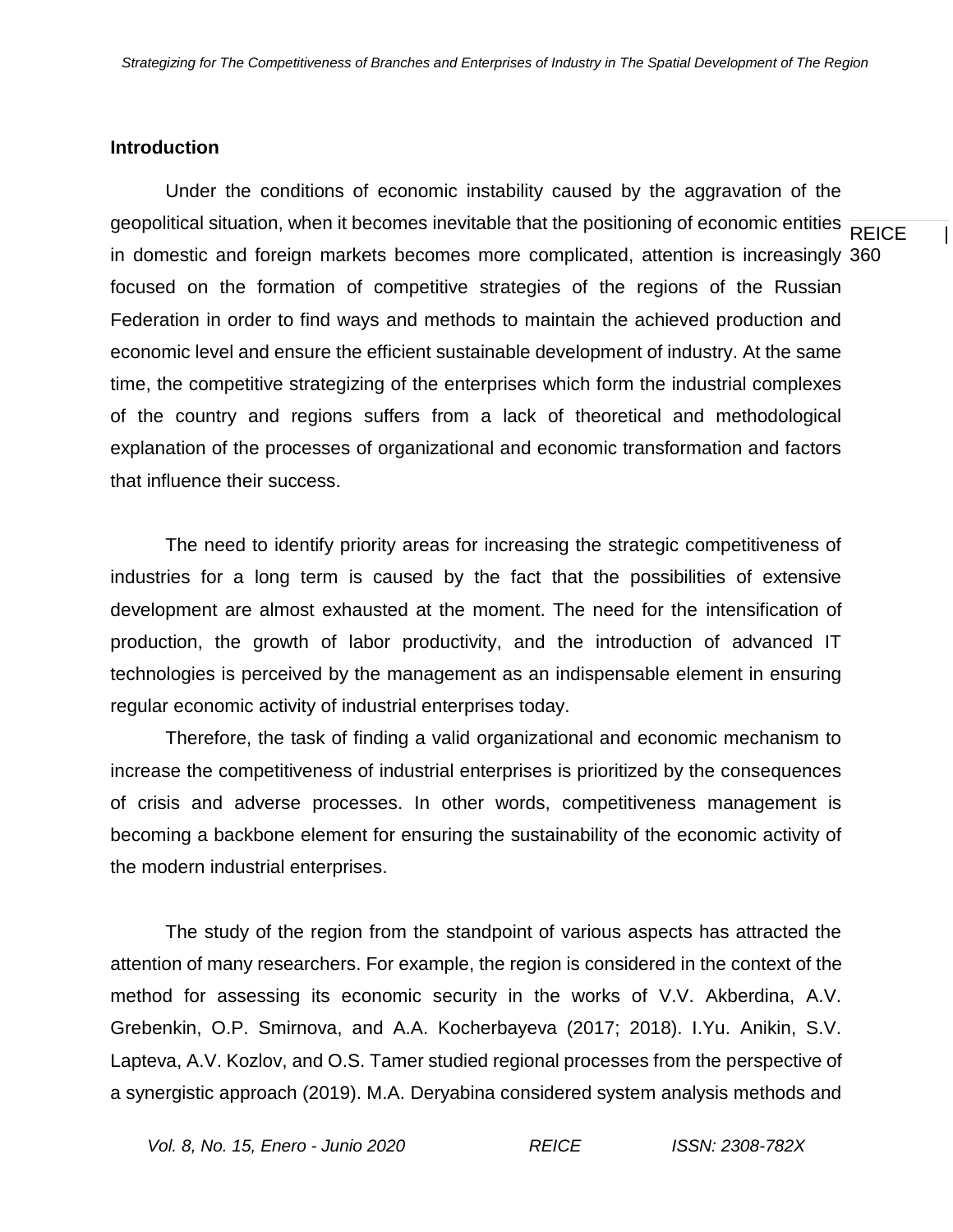#### **Introduction**

geopolitical situation, when it becomes inevitable that the positioning of economic entities  $\overline{\text{REICE}}$  | in domestic and foreign markets becomes more complicated, attention is increasingly 360 Under the conditions of economic instability caused by the aggravation of the focused on the formation of competitive strategies of the regions of the Russian Federation in order to find ways and methods to maintain the achieved production and economic level and ensure the efficient sustainable development of industry. At the same time, the competitive strategizing of the enterprises which form the industrial complexes of the country and regions suffers from a lack of theoretical and methodological explanation of the processes of organizational and economic transformation and factors that influence their success.

The need to identify priority areas for increasing the strategic competitiveness of industries for a long term is caused by the fact that the possibilities of extensive development are almost exhausted at the moment. The need for the intensification of production, the growth of labor productivity, and the introduction of advanced IT technologies is perceived by the management as an indispensable element in ensuring regular economic activity of industrial enterprises today.

Therefore, the task of finding a valid organizational and economic mechanism to increase the competitiveness of industrial enterprises is prioritized by the consequences of crisis and adverse processes. In other words, competitiveness management is becoming a backbone element for ensuring the sustainability of the economic activity of the modern industrial enterprises.

The study of the region from the standpoint of various aspects has attracted the attention of many researchers. For example, the region is considered in the context of the method for assessing its economic security in the works of V.V. Akberdina, A.V. Grebenkin, O.P. Smirnova, and A.A. Kocherbayeva (2017; 2018). I.Yu. Anikin, S.V. Lapteva, A.V. Kozlov, and O.S. Tamer studied regional processes from the perspective of a synergistic approach (2019). M.A. Deryabina considered system analysis methods and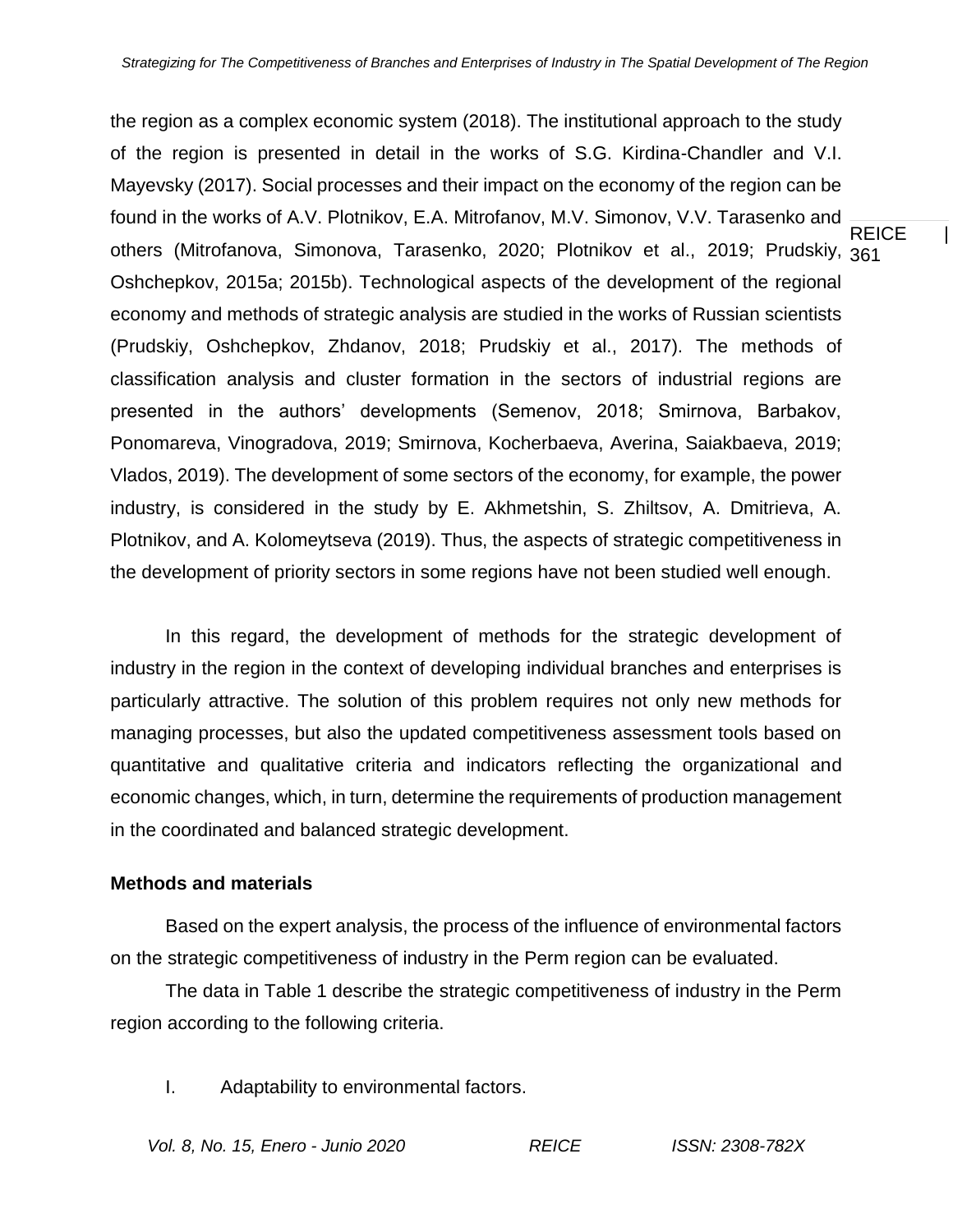REICE | others (Mitrofanova, Simonova, Tarasenko, 2020; Plotnikov et al., 2019; Prudskiy, <sub>361</sub> the region as a complex economic system (2018). The institutional approach to the study of the region is presented in detail in the works of S.G. Kirdina-Chandler and V.I. Mayevsky (2017). Social processes and their impact on the economy of the region can be found in the works of A.V. Plotnikov, E.A. Mitrofanov, M.V. Simonov, V.V. Tarasenko and Oshchepkov, 2015a; 2015b). Technological aspects of the development of the regional economy and methods of strategic analysis are studied in the works of Russian scientists (Prudskiy, Oshchepkov, Zhdanov, 2018; Prudskiy et al., 2017). The methods of classification analysis and cluster formation in the sectors of industrial regions are presented in the authors' developments (Semenov, 2018; Smirnova, Barbakov, Ponomareva, Vinogradova, 2019; Smirnova, Kocherbaeva, Averina, Saiakbaeva, 2019; Vlados, 2019). The development of some sectors of the economy, for example, the power industry, is considered in the study by E. Akhmetshin, S. Zhiltsov, A. Dmitrieva, A. Plotnikov, and A. Kolomeytseva (2019). Thus, the aspects of strategic competitiveness in the development of priority sectors in some regions have not been studied well enough.

In this regard, the development of methods for the strategic development of industry in the region in the context of developing individual branches and enterprises is particularly attractive. The solution of this problem requires not only new methods for managing processes, but also the updated competitiveness assessment tools based on quantitative and qualitative criteria and indicators reflecting the organizational and economic changes, which, in turn, determine the requirements of production management in the coordinated and balanced strategic development.

### **Methods and materials**

Based on the expert analysis, the process of the influence of environmental factors on the strategic competitiveness of industry in the Perm region can be evaluated.

The data in Table 1 describe the strategic competitiveness of industry in the Perm region according to the following criteria.

I. Adaptability to environmental factors.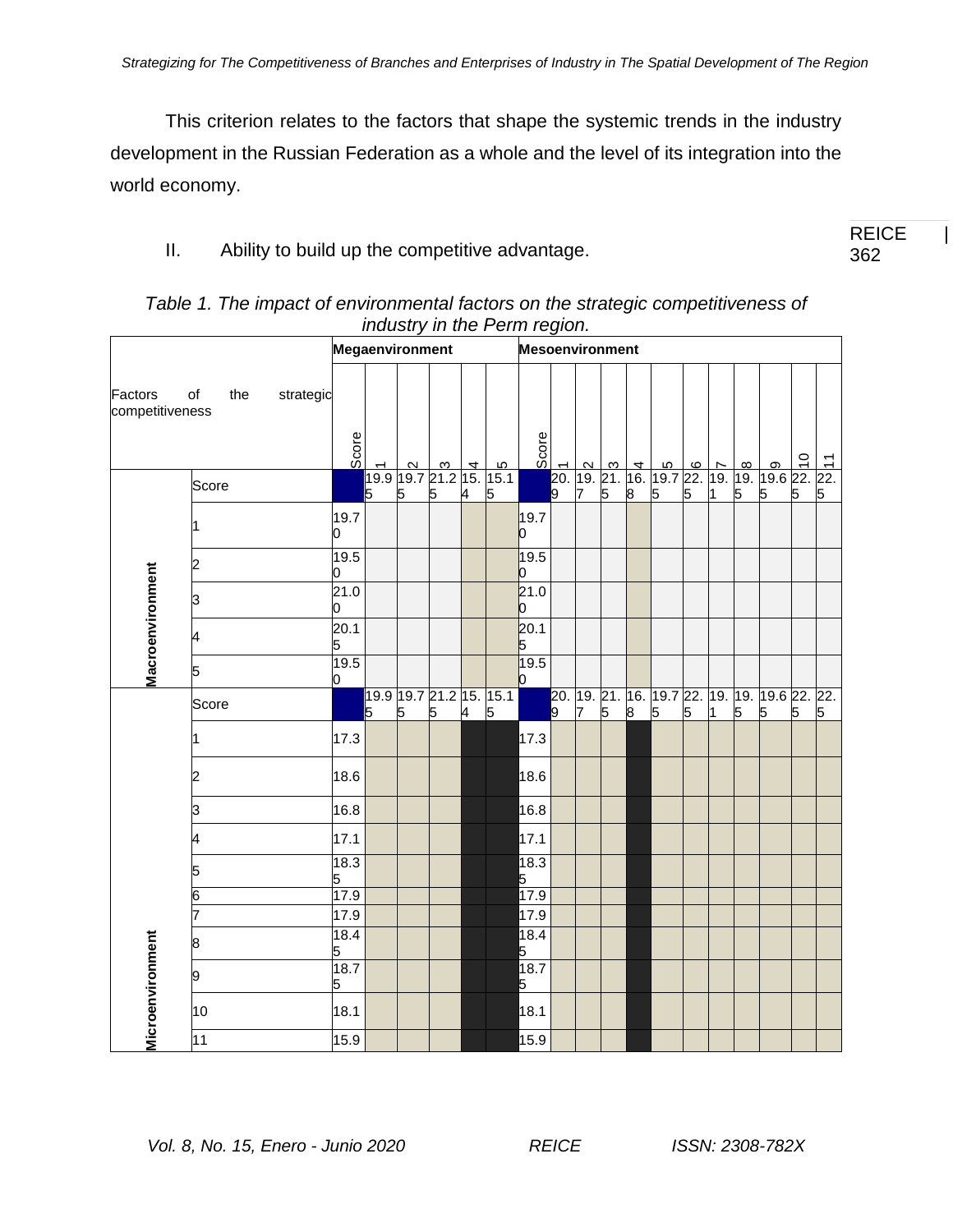This criterion relates to the factors that shape the systemic trends in the industry development in the Russian Federation as a whole and the level of its integration into the world economy.

II. Ability to build up the competitive advantage.

|                            |                        | Megaenvironment |   |   |   | <b>Mesoenvironment</b> |                              |                                   |                |   |   |   |   |   |    |   |                                                    |   |                     |
|----------------------------|------------------------|-----------------|---|---|---|------------------------|------------------------------|-----------------------------------|----------------|---|---|---|---|---|----|---|----------------------------------------------------|---|---------------------|
| Factors<br>competitiveness | of<br>the<br>strategic | Score           |   |   |   |                        |                              | Score                             |                |   |   |   |   |   |    |   |                                                    |   |                     |
|                            | Score                  |                 | 5 | 5 | 5 | 4                      | 5                            |                                   |                |   |   |   |   |   |    |   |                                                    |   | $\frac{1}{22}$<br>5 |
|                            |                        | 19.7<br>n       |   |   |   |                        |                              | 19.7<br>Ю                         |                |   |   |   |   |   |    |   |                                                    |   |                     |
|                            | 2                      | 19.5<br>ი       |   |   |   |                        |                              | 19.5<br>O                         |                |   |   |   |   |   |    |   |                                                    |   |                     |
|                            | З                      | 21.0<br>0       |   |   |   |                        |                              | 21.0<br>0                         |                |   |   |   |   |   |    |   |                                                    |   |                     |
| Macroenvironment           |                        | 20.1<br>5       |   |   |   |                        |                              | 20.1<br>5                         |                |   |   |   |   |   |    |   |                                                    |   |                     |
|                            | 5                      | 19.5<br>0       |   |   |   |                        |                              | 19.5<br>$\mathsf{I}^{\mathsf{I}}$ |                |   |   |   |   |   |    |   |                                                    |   |                     |
|                            | Score                  |                 | 5 | 5 | 5 | 4                      | 19.9 19.7 21.2 15. 15.1<br>5 |                                   | $\overline{9}$ | 7 | 5 | 8 | 5 | 5 | 11 | 5 | 20. 19. 21. 16. 19.7 22. 19. 19. 19.6 22. 22.<br>5 | 5 | 5                   |
|                            |                        | 17.3            |   |   |   |                        |                              | 17.3                              |                |   |   |   |   |   |    |   |                                                    |   |                     |
|                            | 2                      | 18.6            |   |   |   |                        |                              | 18.6                              |                |   |   |   |   |   |    |   |                                                    |   |                     |
|                            | з                      | 16.8            |   |   |   |                        |                              | 16.8                              |                |   |   |   |   |   |    |   |                                                    |   |                     |
|                            |                        | 17.1            |   |   |   |                        |                              | 17.1                              |                |   |   |   |   |   |    |   |                                                    |   |                     |
|                            |                        | 18.3<br>5       |   |   |   |                        |                              | 18.3<br>$\frac{5}{17.9}$          |                |   |   |   |   |   |    |   |                                                    |   |                     |
|                            | 6                      | 17.9            |   |   |   |                        |                              |                                   |                |   |   |   |   |   |    |   |                                                    |   |                     |
|                            |                        | 17.9            |   |   |   |                        |                              | 17.9                              |                |   |   |   |   |   |    |   |                                                    |   |                     |
|                            | 8                      | 18.4<br>5       |   |   |   |                        |                              | 18.4<br>5                         |                |   |   |   |   |   |    |   |                                                    |   |                     |
| Microenvironment           | 9                      | 18.7            |   |   |   |                        |                              | 18.7<br>5                         |                |   |   |   |   |   |    |   |                                                    |   |                     |
|                            | 10                     | 18.1            |   |   |   |                        |                              | 18.1                              |                |   |   |   |   |   |    |   |                                                    |   |                     |
|                            | 11                     | 15.9            |   |   |   |                        |                              | 15.9                              |                |   |   |   |   |   |    |   |                                                    |   |                     |

*Table 1. The impact of environmental factors on the strategic competitiveness of industry in the Perm region.*

**REICE** 362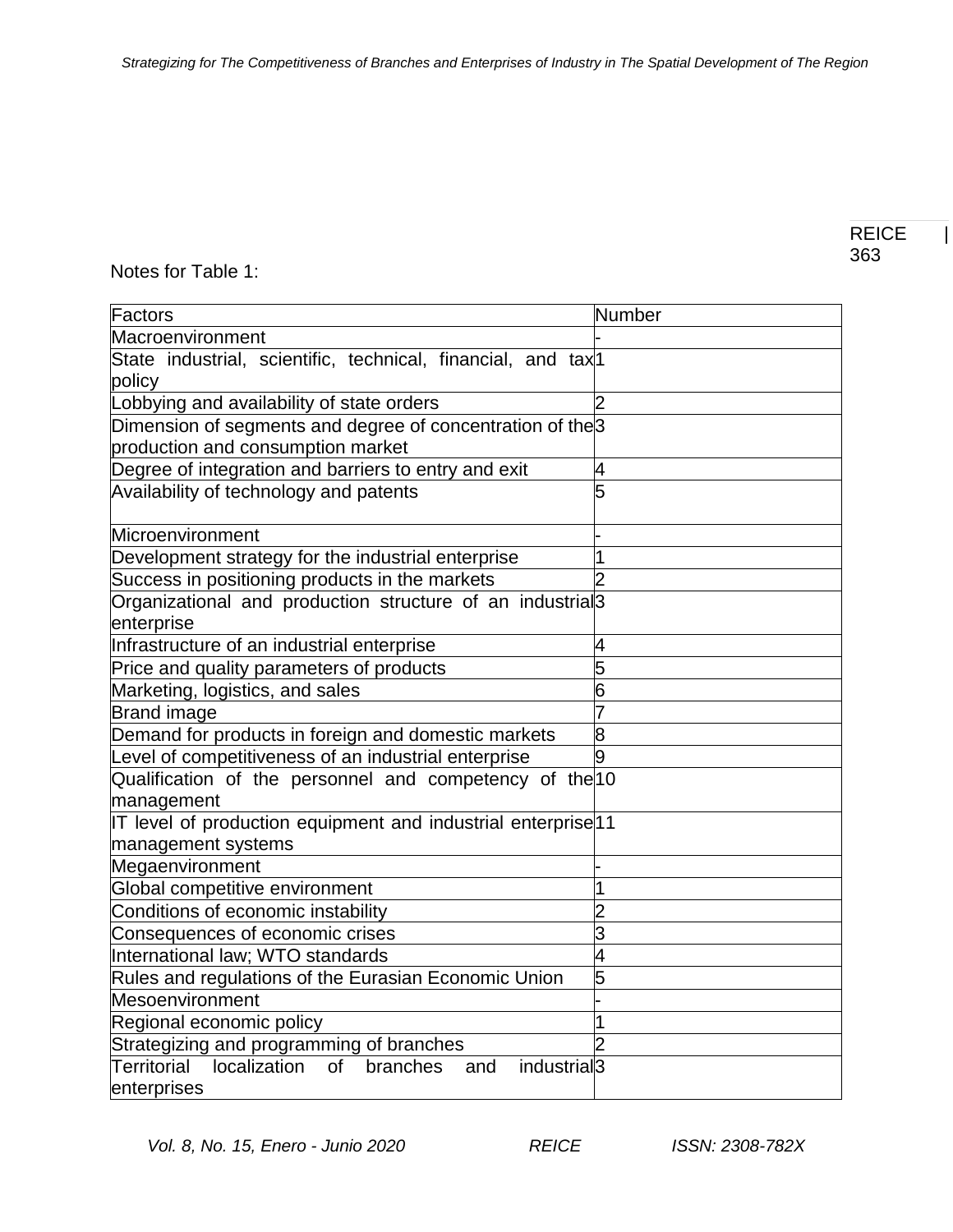# Notes for Table 1:

| Factors                                                                                | Number |
|----------------------------------------------------------------------------------------|--------|
| Macroenvironment                                                                       |        |
| State industrial, scientific, technical, financial, and tax <sup>1</sup>               |        |
| policy                                                                                 |        |
| Lobbying and availability of state orders                                              |        |
| Dimension of segments and degree of concentration of the 3                             |        |
| production and consumption market                                                      |        |
| Degree of integration and barriers to entry and exit                                   | 4      |
| Availability of technology and patents                                                 | 5      |
|                                                                                        |        |
| Microenvironment                                                                       |        |
| Development strategy for the industrial enterprise                                     |        |
| Success in positioning products in the markets                                         |        |
| Organizational and production structure of an industrial <sup>3</sup>                  |        |
| enterprise                                                                             |        |
| Infrastructure of an industrial enterprise                                             | 4      |
| Price and quality parameters of products                                               | 5      |
| Marketing, logistics, and sales                                                        | 6      |
| <b>Brand image</b>                                                                     |        |
| Demand for products in foreign and domestic markets                                    | 8      |
| Level of competitiveness of an industrial enterprise                                   | o      |
| Qualification of the personnel and competency of the 10                                |        |
| management                                                                             |        |
| IT level of production equipment and industrial enterprise 11                          |        |
| management systems                                                                     |        |
| Megaenvironment                                                                        |        |
| Global competitive environment                                                         |        |
| Conditions of economic instability                                                     |        |
| Consequences of economic crises                                                        | 3      |
| International law; WTO standards                                                       | 4      |
| Rules and regulations of the Eurasian Economic Union                                   | 5      |
| Mesoenvironment                                                                        |        |
| Regional economic policy                                                               |        |
| Strategizing and programming of branches                                               |        |
| localization<br>Territorial<br>industrial <sup>3</sup><br><b>of</b><br>branches<br>and |        |
| enterprises                                                                            |        |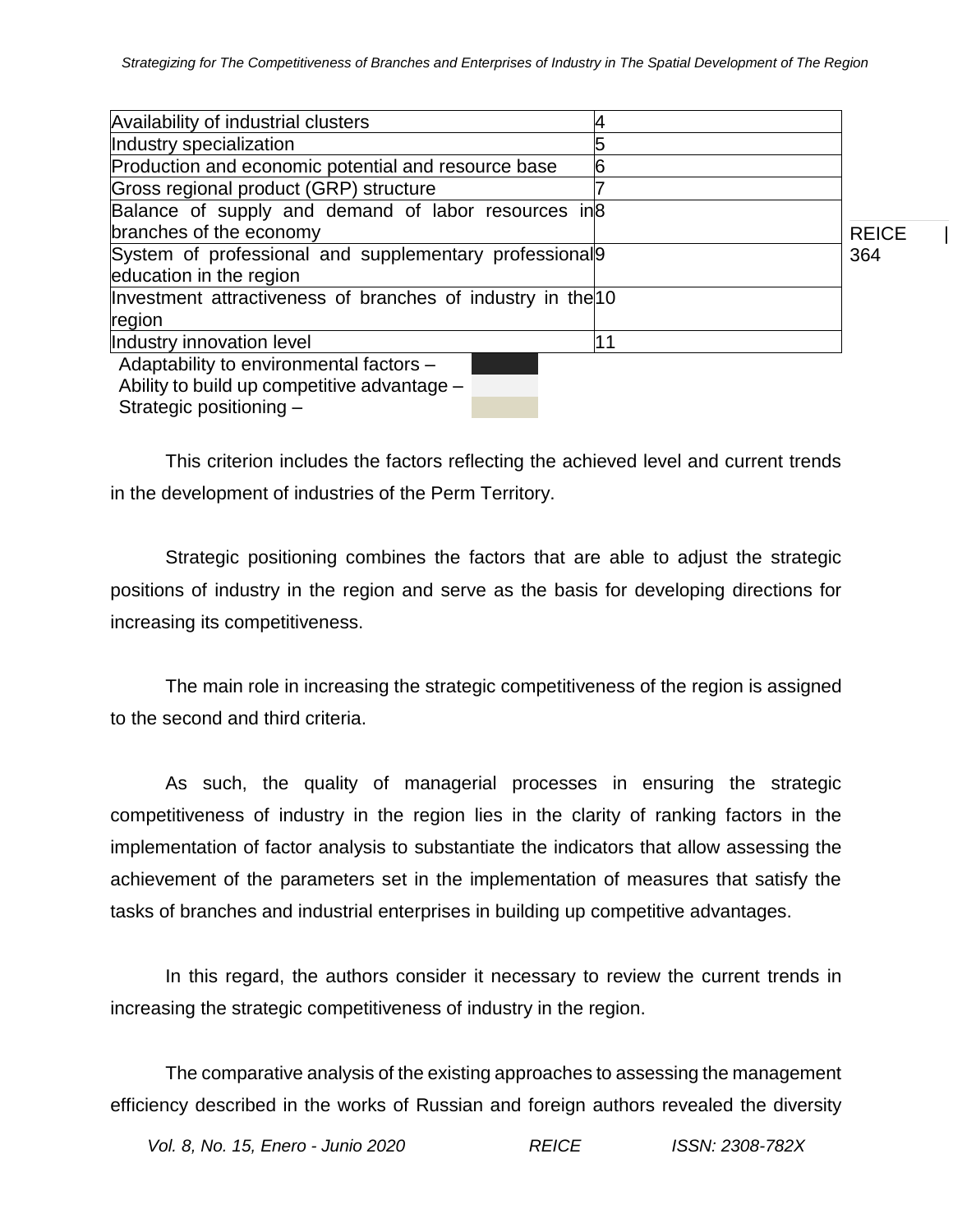| Availability of industrial clusters                                |    |              |
|--------------------------------------------------------------------|----|--------------|
| Industry specialization                                            |    |              |
| Production and economic potential and resource base                | b  |              |
| Gross regional product (GRP) structure                             |    |              |
| Balance of supply and demand of labor resources in 8               |    |              |
| branches of the economy                                            |    | <b>REICE</b> |
| System of professional and supplementary professional <sup>9</sup> |    | 364          |
| education in the region                                            |    |              |
| Investment attractiveness of branches of industry in the 10        |    |              |
| region                                                             |    |              |
| Industry innovation level                                          | 11 |              |
| Adaptability to environmental factors -                            |    |              |
| Ability to build up competitive advantage -                        |    |              |
| Strategic positioning -                                            |    |              |

This criterion includes the factors reflecting the achieved level and current trends in the development of industries of the Perm Territory.

Strategic positioning combines the factors that are able to adjust the strategic positions of industry in the region and serve as the basis for developing directions for increasing its competitiveness.

The main role in increasing the strategic competitiveness of the region is assigned to the second and third criteria.

As such, the quality of managerial processes in ensuring the strategic competitiveness of industry in the region lies in the clarity of ranking factors in the implementation of factor analysis to substantiate the indicators that allow assessing the achievement of the parameters set in the implementation of measures that satisfy the tasks of branches and industrial enterprises in building up competitive advantages.

In this regard, the authors consider it necessary to review the current trends in increasing the strategic competitiveness of industry in the region.

The comparative analysis of the existing approaches to assessing the management efficiency described in the works of Russian and foreign authors revealed the diversity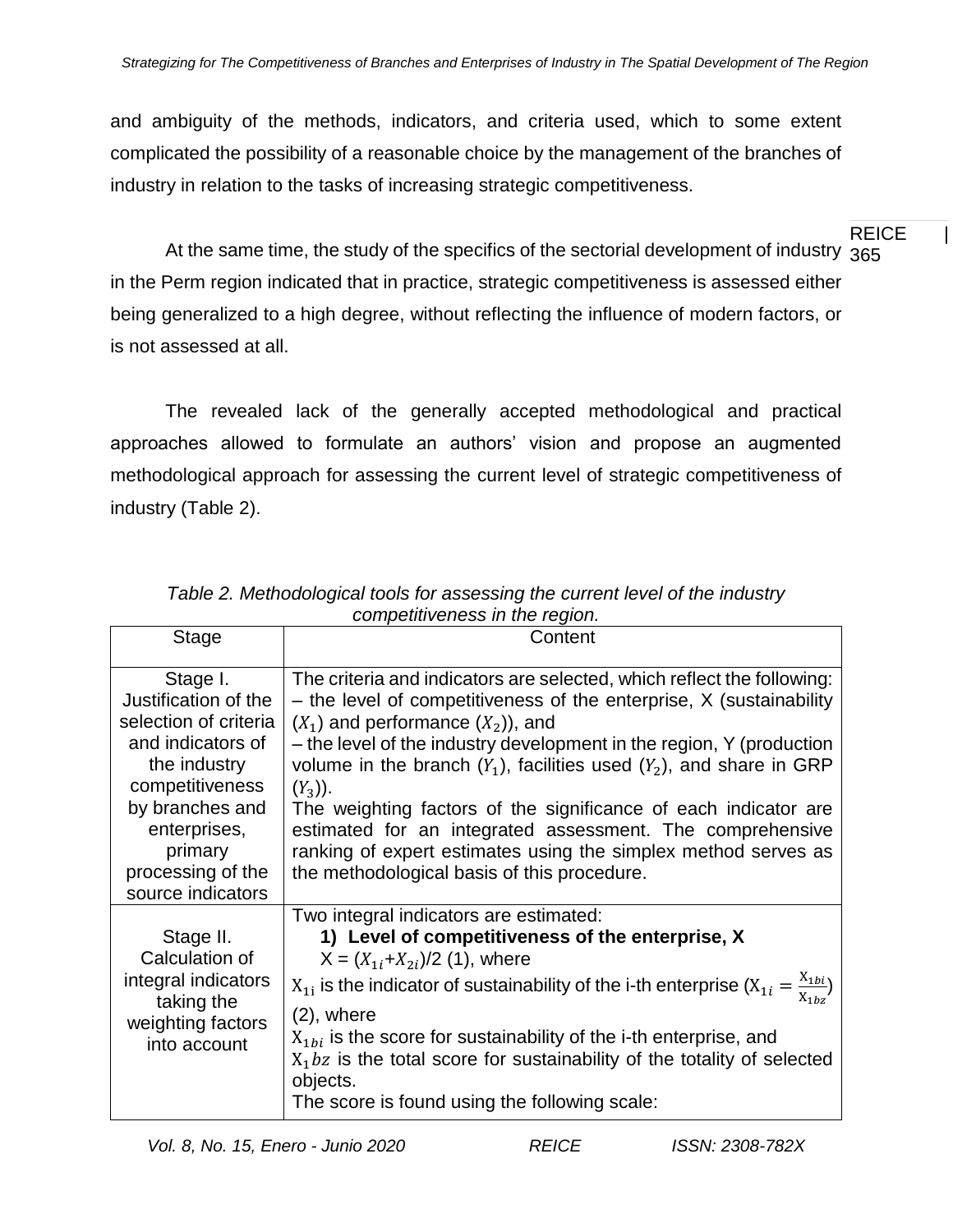and ambiguity of the methods, indicators, and criteria used, which to some extent complicated the possibility of a reasonable choice by the management of the branches of industry in relation to the tasks of increasing strategic competitiveness.

REICE | At the same time, the study of the specifics of the sectorial development of industry  $\,{}^{365}$ in the Perm region indicated that in practice, strategic competitiveness is assessed either being generalized to a high degree, without reflecting the influence of modern factors, or is not assessed at all.

The revealed lack of the generally accepted methodological and practical approaches allowed to formulate an authors' vision and propose an augmented methodological approach for assessing the current level of strategic competitiveness of industry (Table 2).

| <b>Stage</b>                                                                                                                                                                                              | Content                                                                                                                                                                                                                                                                                                                                                                                                                                                                                                                                                                                                    |
|-----------------------------------------------------------------------------------------------------------------------------------------------------------------------------------------------------------|------------------------------------------------------------------------------------------------------------------------------------------------------------------------------------------------------------------------------------------------------------------------------------------------------------------------------------------------------------------------------------------------------------------------------------------------------------------------------------------------------------------------------------------------------------------------------------------------------------|
| Stage I.<br>Justification of the<br>selection of criteria<br>and indicators of<br>the industry<br>competitiveness<br>by branches and<br>enterprises,<br>primary<br>processing of the<br>source indicators | The criteria and indicators are selected, which reflect the following:<br>- the level of competitiveness of the enterprise, X (sustainability<br>$(X_1)$ and performance $(X_2)$ , and<br>- the level of the industry development in the region, Y (production<br>volume in the branch $(Y_1)$ , facilities used $(Y_2)$ , and share in GRP<br>$(Y_3)$ ).<br>The weighting factors of the significance of each indicator are<br>estimated for an integrated assessment. The comprehensive<br>ranking of expert estimates using the simplex method serves as<br>the methodological basis of this procedure. |
| Stage II.<br>Calculation of<br>integral indicators<br>taking the<br>weighting factors<br>into account                                                                                                     | Two integral indicators are estimated:<br>1) Level of competitiveness of the enterprise, X<br>$X = (X_{1i}+X_{2i})/2$ (1), where<br>$X_{1i}$ is the indicator of sustainability of the i-th enterprise $(X_{1i} = \frac{X_{1bi}}{X_{1bi}})$<br>$(2)$ , where<br>$X_{1bi}$ is the score for sustainability of the i-th enterprise, and<br>$X_1$ bz is the total score for sustainability of the totality of selected<br>objects.<br>The score is found using the following scale:                                                                                                                           |

*Table 2. Methodological tools for assessing the current level of the industry competitiveness in the region.*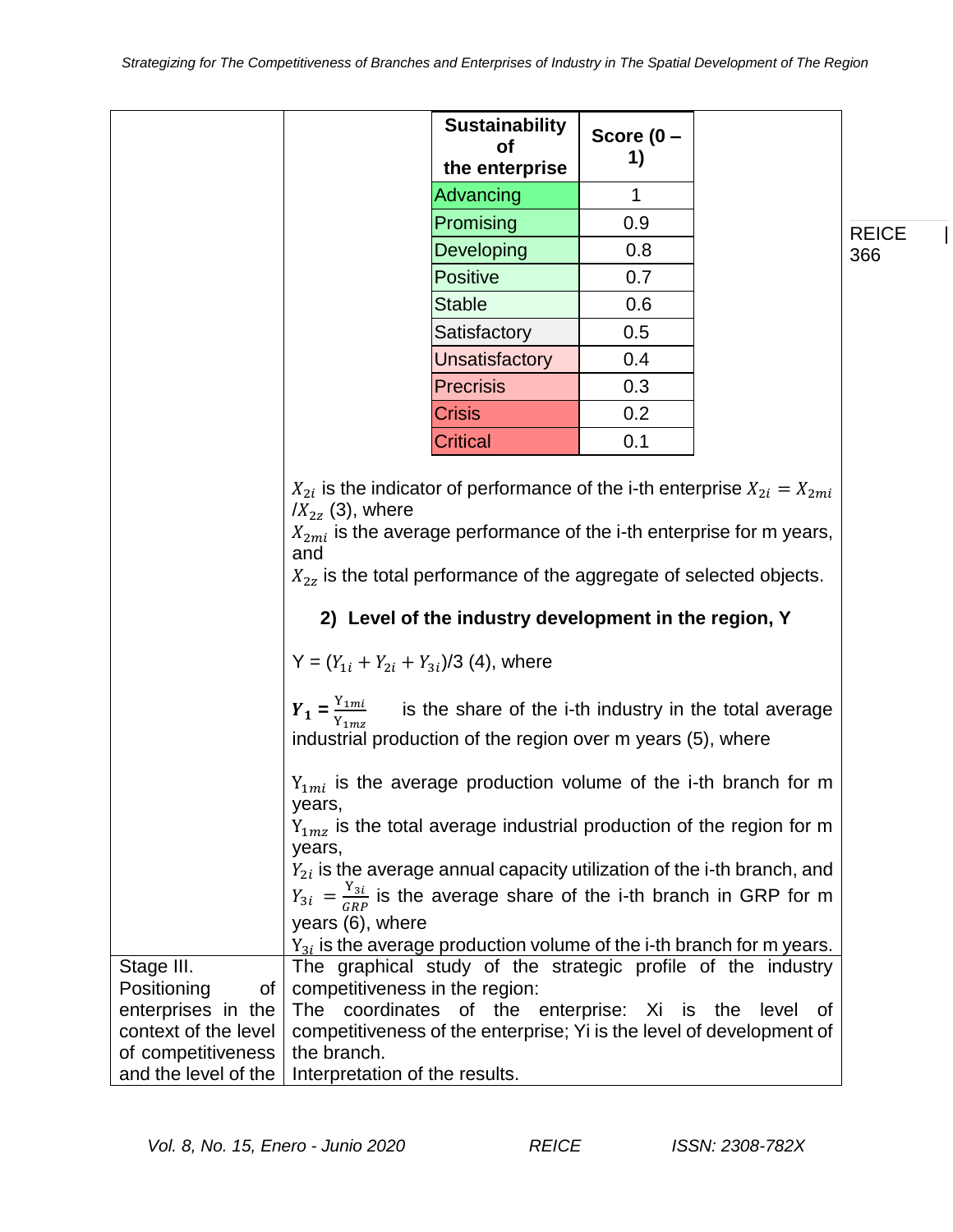|                                                                                      |                                                                                                                                                                                                                                                                      | <b>Sustainability</b><br>Οf<br>the enterprise                                                                         | Score $(0 -$<br>1) |  |              |  |  |
|--------------------------------------------------------------------------------------|----------------------------------------------------------------------------------------------------------------------------------------------------------------------------------------------------------------------------------------------------------------------|-----------------------------------------------------------------------------------------------------------------------|--------------------|--|--------------|--|--|
|                                                                                      |                                                                                                                                                                                                                                                                      | Advancing                                                                                                             | 1                  |  |              |  |  |
|                                                                                      |                                                                                                                                                                                                                                                                      | Promising                                                                                                             | 0.9                |  | <b>REICE</b> |  |  |
|                                                                                      |                                                                                                                                                                                                                                                                      | Developing                                                                                                            | 0.8                |  | 366          |  |  |
|                                                                                      |                                                                                                                                                                                                                                                                      | <b>Positive</b>                                                                                                       | 0.7                |  |              |  |  |
|                                                                                      |                                                                                                                                                                                                                                                                      | <b>Stable</b>                                                                                                         | 0.6                |  |              |  |  |
|                                                                                      |                                                                                                                                                                                                                                                                      | Satisfactory                                                                                                          | 0.5                |  |              |  |  |
|                                                                                      |                                                                                                                                                                                                                                                                      | Unsatisfactory                                                                                                        | 0.4                |  |              |  |  |
|                                                                                      |                                                                                                                                                                                                                                                                      | <b>Precrisis</b>                                                                                                      | 0.3                |  |              |  |  |
|                                                                                      |                                                                                                                                                                                                                                                                      | Crisis                                                                                                                | 0.2                |  |              |  |  |
|                                                                                      |                                                                                                                                                                                                                                                                      | Critical                                                                                                              | 0.1                |  |              |  |  |
|                                                                                      | $X_{2mi}$ is the average performance of the i-th enterprise for m years,<br>and<br>$X_{2z}$ is the total performance of the aggregate of selected objects.<br>2) Level of the industry development in the region, Y<br>$Y = (Y_{1i} + Y_{2i} + Y_{3i})/3$ (4), where |                                                                                                                       |                    |  |              |  |  |
|                                                                                      | $Y_1 = \frac{Y_{1mi}}{Y_{1mx}}$                                                                                                                                                                                                                                      | is the share of the i-th industry in the total average<br>industrial production of the region over m years (5), where |                    |  |              |  |  |
|                                                                                      | years,                                                                                                                                                                                                                                                               | $Y_{1mi}$ is the average production volume of the i-th branch for m                                                   |                    |  |              |  |  |
|                                                                                      | years,                                                                                                                                                                                                                                                               | $Y_{1mz}$ is the total average industrial production of the region for m                                              |                    |  |              |  |  |
|                                                                                      |                                                                                                                                                                                                                                                                      | $Y_{2i}$ is the average annual capacity utilization of the i-th branch, and                                           |                    |  |              |  |  |
|                                                                                      |                                                                                                                                                                                                                                                                      | $Y_{3i} = \frac{Y_{3i}}{CP}$ is the average share of the i-th branch in GRP for m                                     |                    |  |              |  |  |
|                                                                                      | years (6), where                                                                                                                                                                                                                                                     |                                                                                                                       |                    |  |              |  |  |
|                                                                                      |                                                                                                                                                                                                                                                                      | $Y_{3i}$ is the average production volume of the i-th branch for m years.                                             |                    |  |              |  |  |
| Stage III.<br>Positioning<br>$of \mid$<br>enterprises in the<br>context of the level | The graphical study of the strategic profile of the industry<br>competitiveness in the region:<br>The coordinates of the enterprise: Xi is the level of<br>competitiveness of the enterprise; Yi is the level of development of                                      |                                                                                                                       |                    |  |              |  |  |
| of competitiveness                                                                   | the branch.                                                                                                                                                                                                                                                          |                                                                                                                       |                    |  |              |  |  |
| and the level of the                                                                 | Interpretation of the results.                                                                                                                                                                                                                                       |                                                                                                                       |                    |  |              |  |  |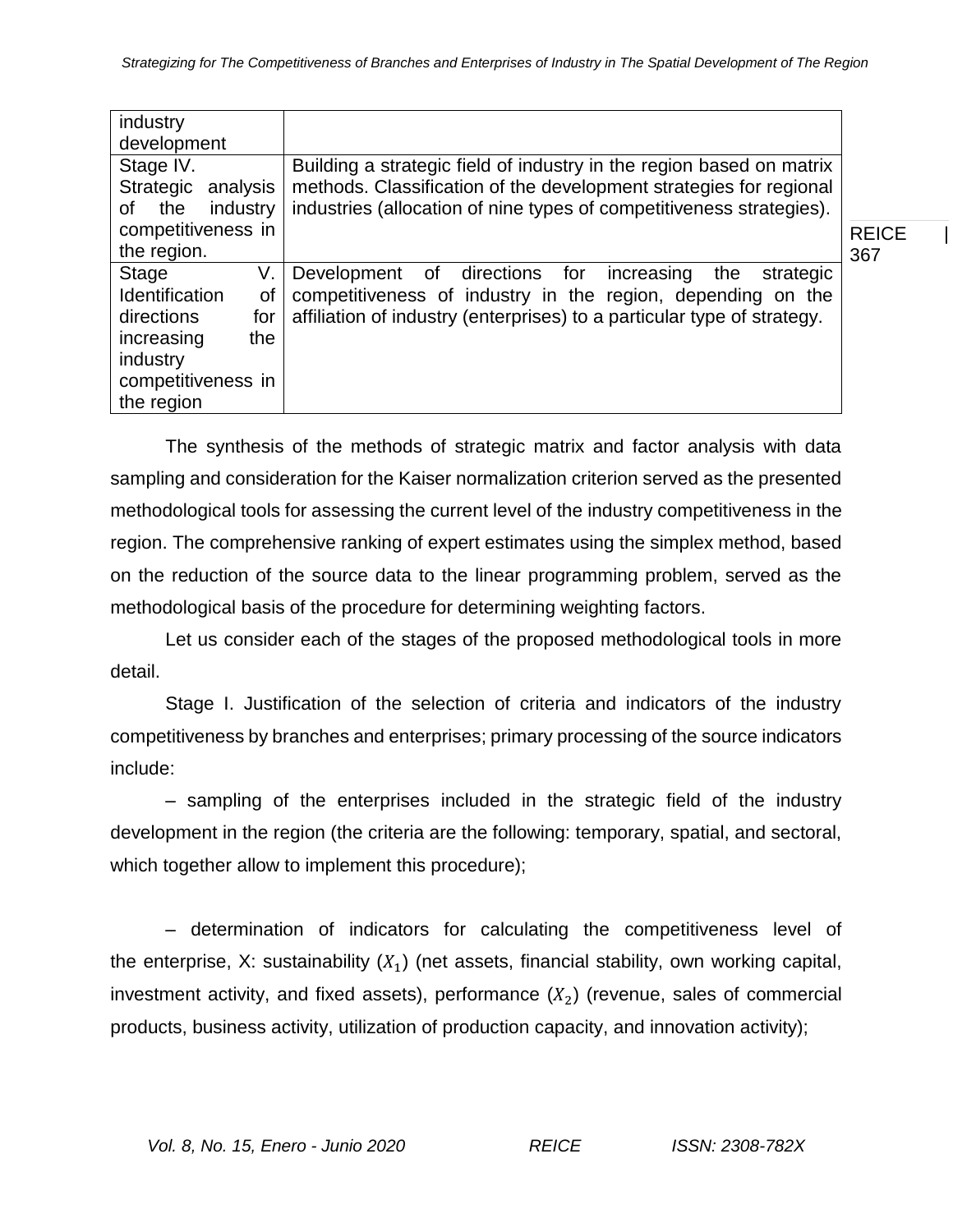| industry<br>development                                                                                                                                                                                                                                                           |                                                                                                                                   |              |  |  |
|-----------------------------------------------------------------------------------------------------------------------------------------------------------------------------------------------------------------------------------------------------------------------------------|-----------------------------------------------------------------------------------------------------------------------------------|--------------|--|--|
| Stage IV.<br>Building a strategic field of industry in the region based on matrix<br>methods. Classification of the development strategies for regional<br>Strategic<br>analysis<br>industries (allocation of nine types of competitiveness strategies).<br>the<br>industry<br>of |                                                                                                                                   |              |  |  |
| competitiveness in                                                                                                                                                                                                                                                                |                                                                                                                                   | <b>REICE</b> |  |  |
| the region.                                                                                                                                                                                                                                                                       |                                                                                                                                   | 367          |  |  |
| Stage<br>V.<br><b>Identification</b><br>0f                                                                                                                                                                                                                                        | of directions for<br>Development<br>the<br>strategic<br>increasing<br>competitiveness of industry in the region, depending on the |              |  |  |
| directions<br>for                                                                                                                                                                                                                                                                 | affiliation of industry (enterprises) to a particular type of strategy.                                                           |              |  |  |
| the<br>increasing                                                                                                                                                                                                                                                                 |                                                                                                                                   |              |  |  |
| industry                                                                                                                                                                                                                                                                          |                                                                                                                                   |              |  |  |
| competitiveness in                                                                                                                                                                                                                                                                |                                                                                                                                   |              |  |  |
| the region                                                                                                                                                                                                                                                                        |                                                                                                                                   |              |  |  |

The synthesis of the methods of strategic matrix and factor analysis with data sampling and consideration for the Kaiser normalization criterion served as the presented methodological tools for assessing the current level of the industry competitiveness in the region. The comprehensive ranking of expert estimates using the simplex method, based on the reduction of the source data to the linear programming problem, served as the methodological basis of the procedure for determining weighting factors.

Let us consider each of the stages of the proposed methodological tools in more detail.

Stage I. Justification of the selection of criteria and indicators of the industry competitiveness by branches and enterprises; primary processing of the source indicators include:

– sampling of the enterprises included in the strategic field of the industry development in the region (the criteria are the following: temporary, spatial, and sectoral, which together allow to implement this procedure);

– determination of indicators for calculating the competitiveness level of the enterprise, X: sustainability  $(X_1)$  (net assets, financial stability, own working capital, investment activity, and fixed assets), performance  $(X_2)$  (revenue, sales of commercial products, business activity, utilization of production capacity, and innovation activity);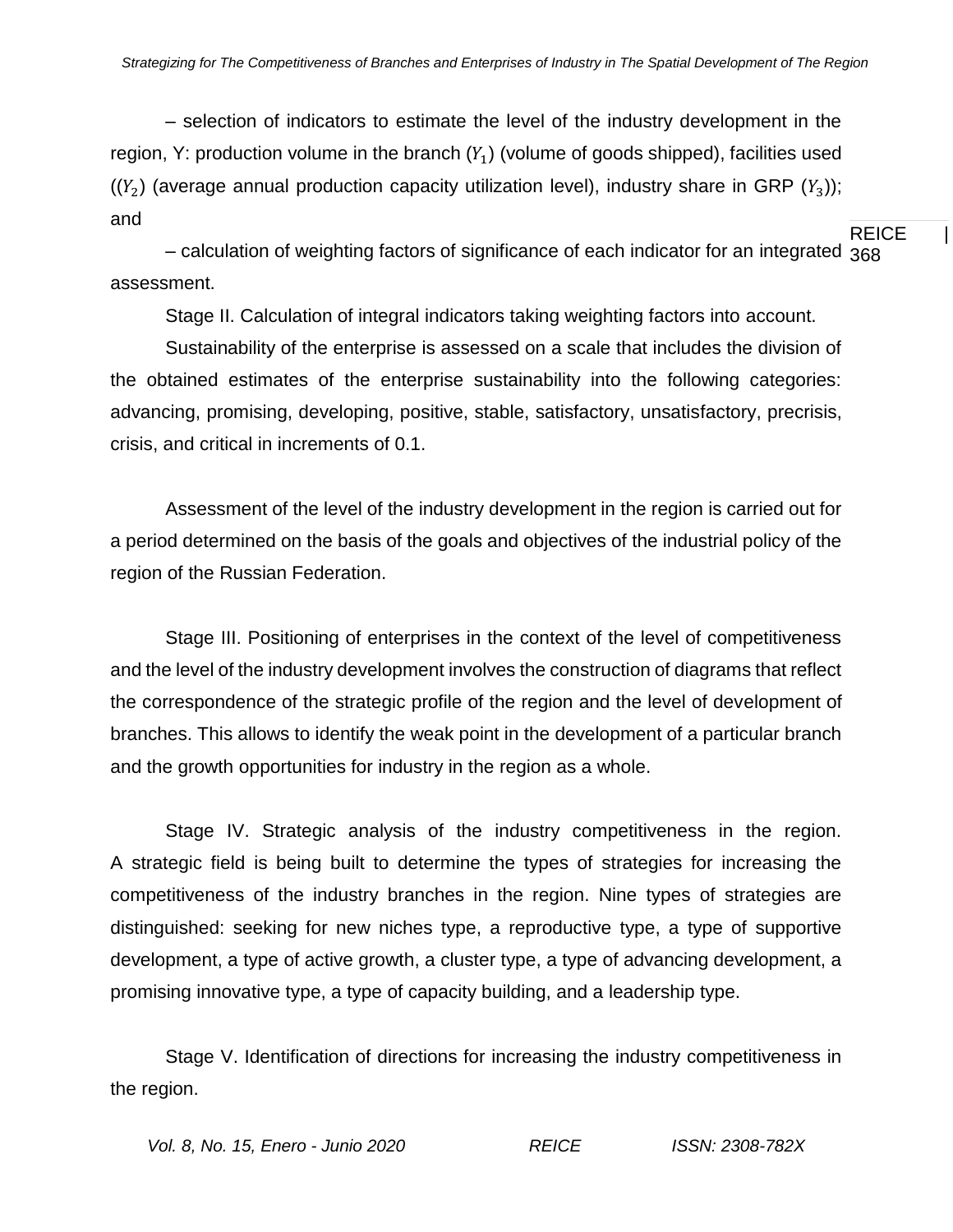REICE | – selection of indicators to estimate the level of the industry development in the region, Y: production volume in the branch  $(Y_1)$  (volume of goods shipped), facilities used  $((Y_2)$  (average annual production capacity utilization level), industry share in GRP  $(Y_3)$ ; and

– calculation of weighting factors of significance of each indicator for an integrated  $\mathsf{368}$ assessment.

Stage II. Calculation of integral indicators taking weighting factors into account.

Sustainability of the enterprise is assessed on a scale that includes the division of the obtained estimates of the enterprise sustainability into the following categories: advancing, promising, developing, positive, stable, satisfactory, unsatisfactory, precrisis, crisis, and critical in increments of 0.1.

Assessment of the level of the industry development in the region is carried out for a period determined on the basis of the goals and objectives of the industrial policy of the region of the Russian Federation.

Stage III. Positioning of enterprises in the context of the level of competitiveness and the level of the industry development involves the construction of diagrams that reflect the correspondence of the strategic profile of the region and the level of development of branches. This allows to identify the weak point in the development of a particular branch and the growth opportunities for industry in the region as a whole.

Stage IV. Strategic analysis of the industry competitiveness in the region. A strategic field is being built to determine the types of strategies for increasing the competitiveness of the industry branches in the region. Nine types of strategies are distinguished: seeking for new niches type, a reproductive type, a type of supportive development, a type of active growth, a cluster type, a type of advancing development, a promising innovative type, a type of capacity building, and a leadership type.

Stage V. Identification of directions for increasing the industry competitiveness in the region.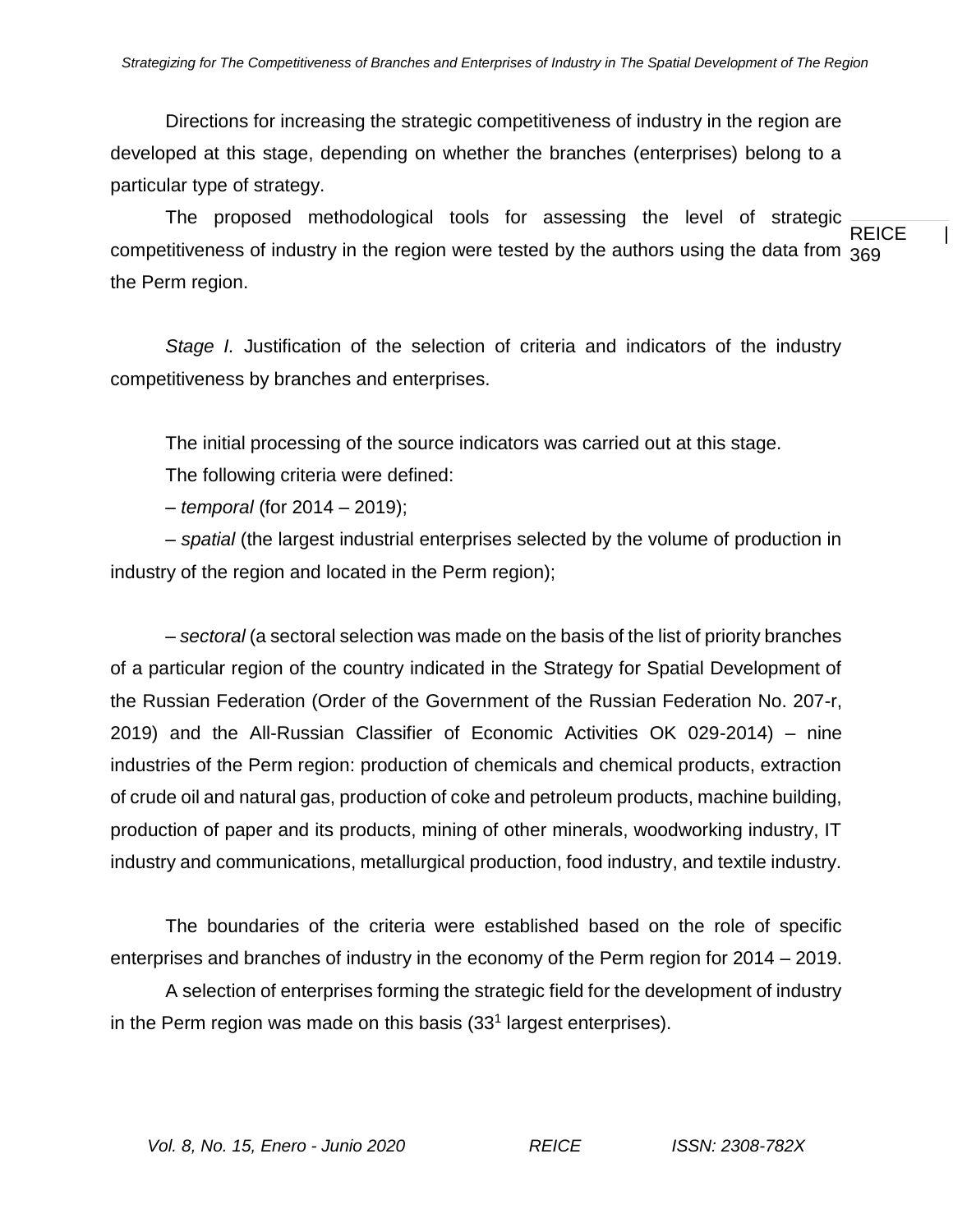Directions for increasing the strategic competitiveness of industry in the region are developed at this stage, depending on whether the branches (enterprises) belong to a particular type of strategy.

REICE | competitiveness of industry in the region were tested by the authors using the data from  $_{\rm 369}$ The proposed methodological tools for assessing the level of strategic the Perm region.

*Stage I.* Justification of the selection of criteria and indicators of the industry competitiveness by branches and enterprises.

The initial processing of the source indicators was carried out at this stage.

The following criteria were defined:

– *temporal* (for 2014 – 2019);

– *spatial* (the largest industrial enterprises selected by the volume of production in industry of the region and located in the Perm region);

– *sectoral* (a sectoral selection was made on the basis of the list of priority branches of a particular region of the country indicated in the Strategy for Spatial Development of the Russian Federation (Order of the Government of the Russian Federation No. 207-r, 2019) and the All-Russian Classifier of Economic Activities OK 029-2014) – nine industries of the Perm region: production of chemicals and chemical products, extraction of crude oil and natural gas, production of coke and petroleum products, machine building, production of paper and its products, mining of other minerals, woodworking industry, IT industry and communications, metallurgical production, food industry, and textile industry.

The boundaries of the criteria were established based on the role of specific enterprises and branches of industry in the economy of the Perm region for 2014 – 2019.

A selection of enterprises forming the strategic field for the development of industry in the Perm region was made on this basis (33<sup>1</sup> largest enterprises).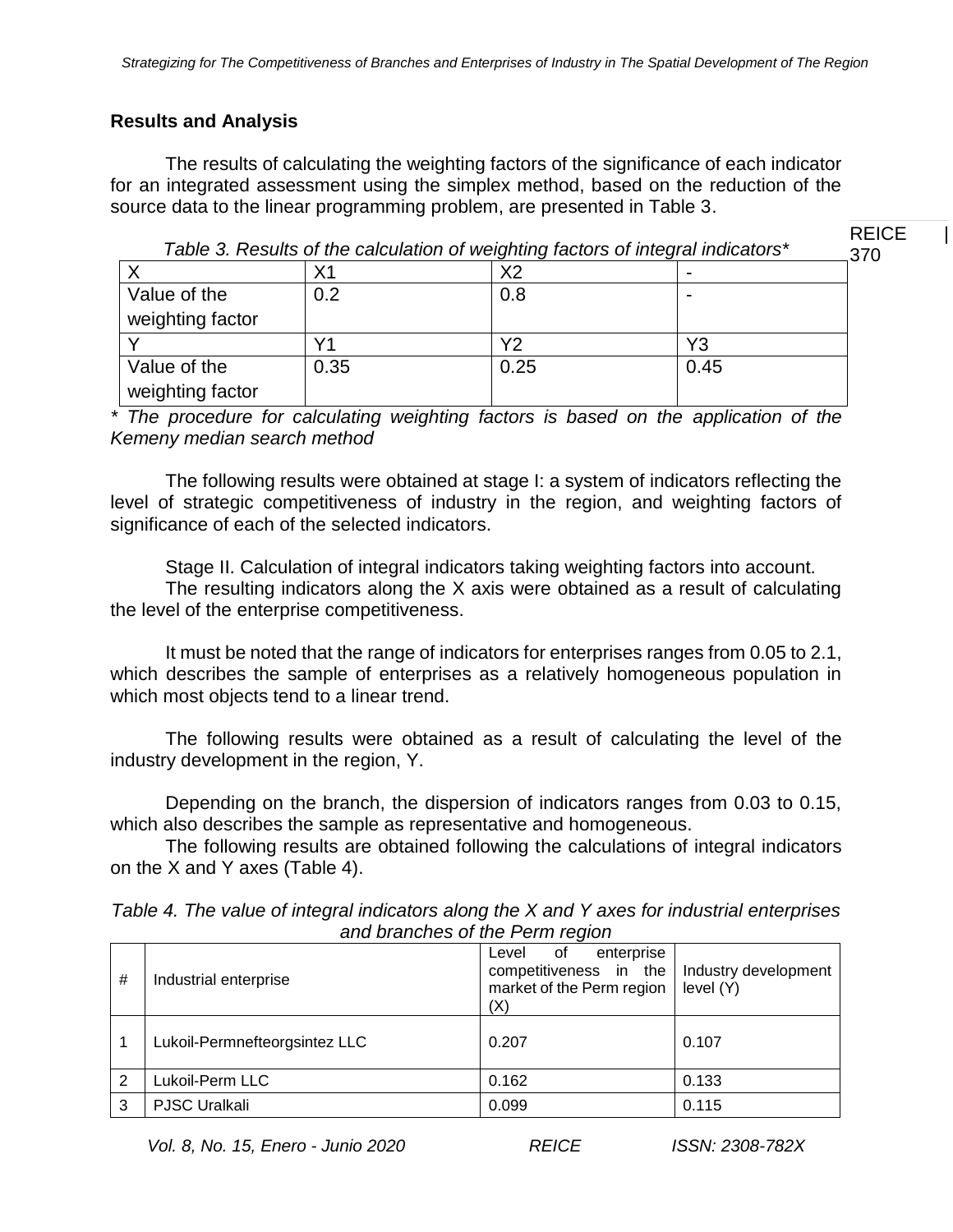# **Results and Analysis**

The results of calculating the weighting factors of the significance of each indicator for an integrated assessment using the simplex method, based on the reduction of the source data to the linear programming problem, are presented in Table 3.

*Table 3. Results of the calculation of weighting factors of integral indicators\**

| <b>REICE</b> |  |
|--------------|--|
| 370          |  |

|                  |      | ີ    |      |
|------------------|------|------|------|
|                  | Χ1   | Х2   |      |
| Value of the     | 0.2  | 0.8  |      |
| weighting factor |      |      |      |
|                  |      | Υ2   | Y3   |
| Value of the     | 0.35 | 0.25 | 0.45 |
| weighting factor |      |      |      |

*\* The procedure for calculating weighting factors is based on the application of the Kemeny median search method*

The following results were obtained at stage I: a system of indicators reflecting the level of strategic competitiveness of industry in the region, and weighting factors of significance of each of the selected indicators.

Stage II. Calculation of integral indicators taking weighting factors into account.

The resulting indicators along the X axis were obtained as a result of calculating the level of the enterprise competitiveness.

It must be noted that the range of indicators for enterprises ranges from 0.05 to 2.1, which describes the sample of enterprises as a relatively homogeneous population in which most objects tend to a linear trend.

The following results were obtained as a result of calculating the level of the industry development in the region, Y.

Depending on the branch, the dispersion of indicators ranges from 0.03 to 0.15, which also describes the sample as representative and homogeneous.

The following results are obtained following the calculations of integral indicators on the X and Y axes (Table 4).

| and branchood of and right region |                               |                                                                                         |                                   |  |  |  |  |
|-----------------------------------|-------------------------------|-----------------------------------------------------------------------------------------|-----------------------------------|--|--|--|--|
| #                                 | Industrial enterprise         | enterprise<br>of<br>Level<br>competitiveness in the<br>market of the Perm region<br>(X) | Industry development<br>level (Y) |  |  |  |  |
|                                   | Lukoil-Permnefteorgsintez LLC | 0.207                                                                                   | 0.107                             |  |  |  |  |
| 2                                 | Lukoil-Perm LLC               | 0.162                                                                                   | 0.133                             |  |  |  |  |
| 3                                 | <b>PJSC Uralkali</b>          | 0.099                                                                                   | 0.115                             |  |  |  |  |

*Table 4. The value of integral indicators along the X and Y axes for industrial enterprises and branches of the Perm region*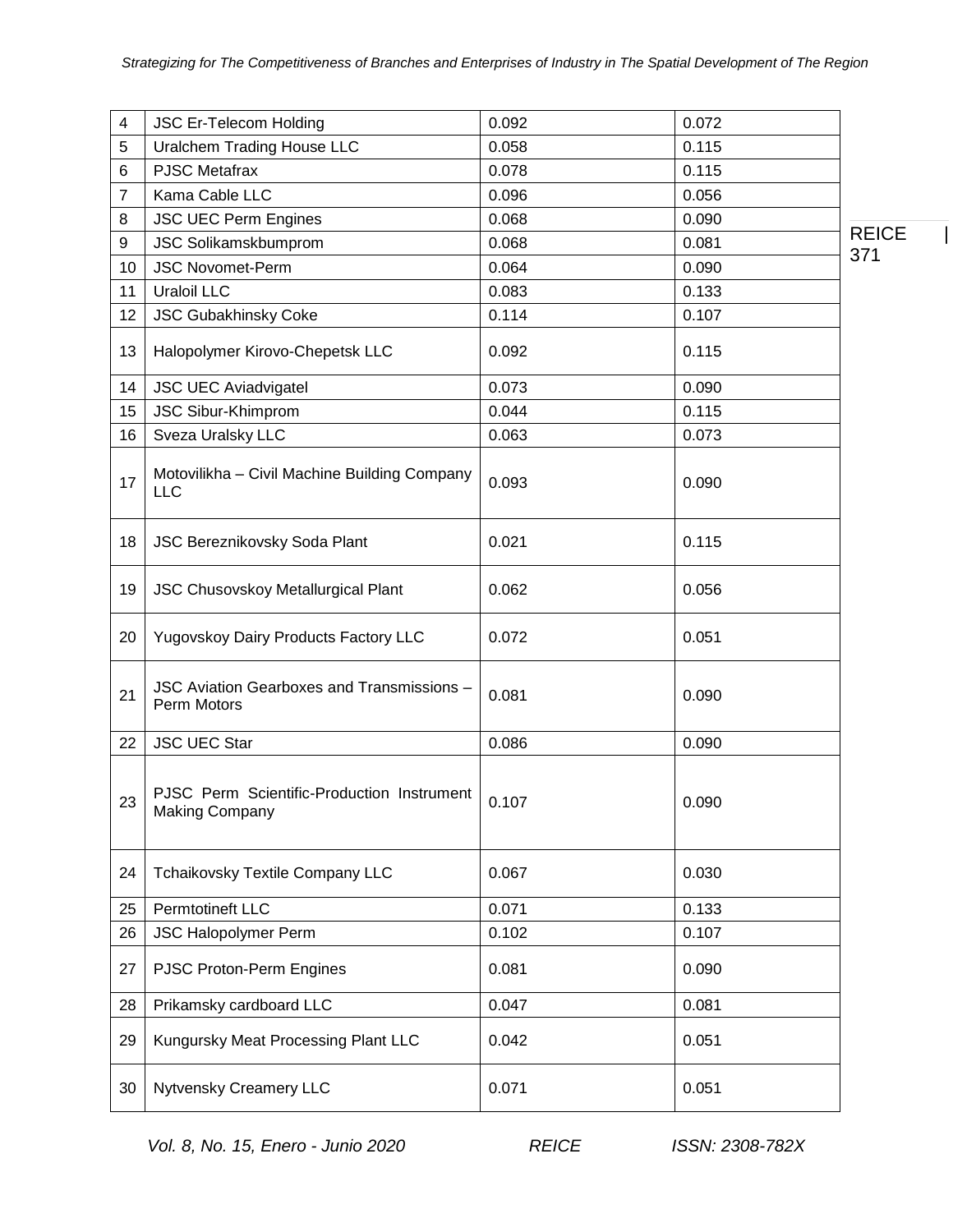| 4              | <b>JSC Er-Telecom Holding</b>                                       | 0.092 | 0.072 |              |
|----------------|---------------------------------------------------------------------|-------|-------|--------------|
| 5              | <b>Uralchem Trading House LLC</b>                                   | 0.058 | 0.115 |              |
| 6              | <b>PJSC Metafrax</b>                                                | 0.078 | 0.115 |              |
| $\overline{7}$ | Kama Cable LLC                                                      | 0.096 | 0.056 |              |
| 8              | <b>JSC UEC Perm Engines</b>                                         | 0.068 | 0.090 |              |
| 9              | <b>JSC Solikamskbumprom</b>                                         | 0.068 | 0.081 | <b>REICE</b> |
| 10             | <b>JSC Novomet-Perm</b>                                             | 0.064 | 0.090 | 371          |
| 11             | <b>Uraloil LLC</b>                                                  | 0.083 | 0.133 |              |
| 12             | JSC Gubakhinsky Coke                                                | 0.114 | 0.107 |              |
| 13             | Halopolymer Kirovo-Chepetsk LLC                                     | 0.092 | 0.115 |              |
| 14             | <b>JSC UEC Aviadvigatel</b>                                         | 0.073 | 0.090 |              |
| 15             | JSC Sibur-Khimprom                                                  | 0.044 | 0.115 |              |
| 16             | Sveza Uralsky LLC                                                   | 0.063 | 0.073 |              |
| 17             | Motovilikha - Civil Machine Building Company<br><b>LLC</b>          | 0.093 | 0.090 |              |
| 18             | JSC Bereznikovsky Soda Plant                                        | 0.021 | 0.115 |              |
| 19             | JSC Chusovskoy Metallurgical Plant                                  | 0.062 | 0.056 |              |
| 20             | Yugovskoy Dairy Products Factory LLC                                | 0.072 | 0.051 |              |
| 21             | JSC Aviation Gearboxes and Transmissions -<br>Perm Motors           | 0.081 | 0.090 |              |
| 22             | <b>JSC UEC Star</b>                                                 | 0.086 | 0.090 |              |
| 23             | PJSC Perm Scientific-Production Instrument<br><b>Making Company</b> | 0.107 | 0.090 |              |
| 24             | Tchaikovsky Textile Company LLC                                     | 0.067 | 0.030 |              |
| 25             | Permtotineft LLC                                                    | 0.071 | 0.133 |              |
| 26             | <b>JSC Halopolymer Perm</b>                                         | 0.102 | 0.107 |              |
| 27             | PJSC Proton-Perm Engines                                            | 0.081 | 0.090 |              |
| 28             | Prikamsky cardboard LLC                                             | 0.047 | 0.081 |              |
| 29             | Kungursky Meat Processing Plant LLC                                 | 0.042 | 0.051 |              |
| 30             | Nytvensky Creamery LLC                                              | 0.071 | 0.051 |              |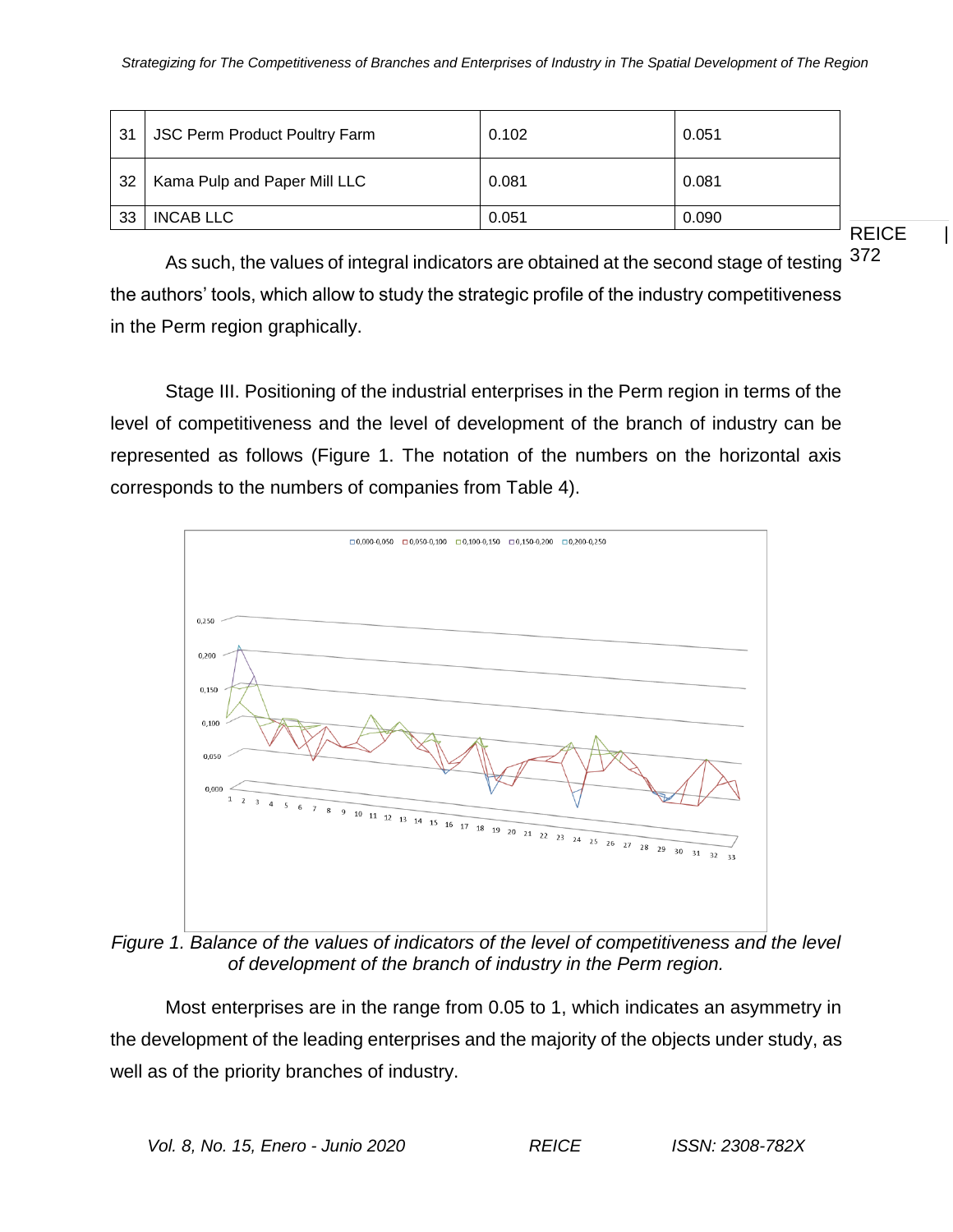| -31 | <b>JSC Perm Product Poultry Farm</b> | 0.102 | 0.051 |
|-----|--------------------------------------|-------|-------|
| -32 | Kama Pulp and Paper Mill LLC         | 0.081 | 0.081 |
| -33 | <b>INCAB LLC</b>                     | 0.051 | 0.090 |

**REICE** 

As such, the values of integral indicators are obtained at the second stage of testing  $372$ the authors' tools, which allow to study the strategic profile of the industry competitiveness in the Perm region graphically.

Stage III. Positioning of the industrial enterprises in the Perm region in terms of the level of competitiveness and the level of development of the branch of industry can be represented as follows (Figure 1. The notation of the numbers on the horizontal axis corresponds to the numbers of companies from Table 4).



*Figure 1. Balance of the values of indicators of the level of competitiveness and the level of development of the branch of industry in the Perm region.*

Most enterprises are in the range from 0.05 to 1, which indicates an asymmetry in the development of the leading enterprises and the majority of the objects under study, as well as of the priority branches of industry.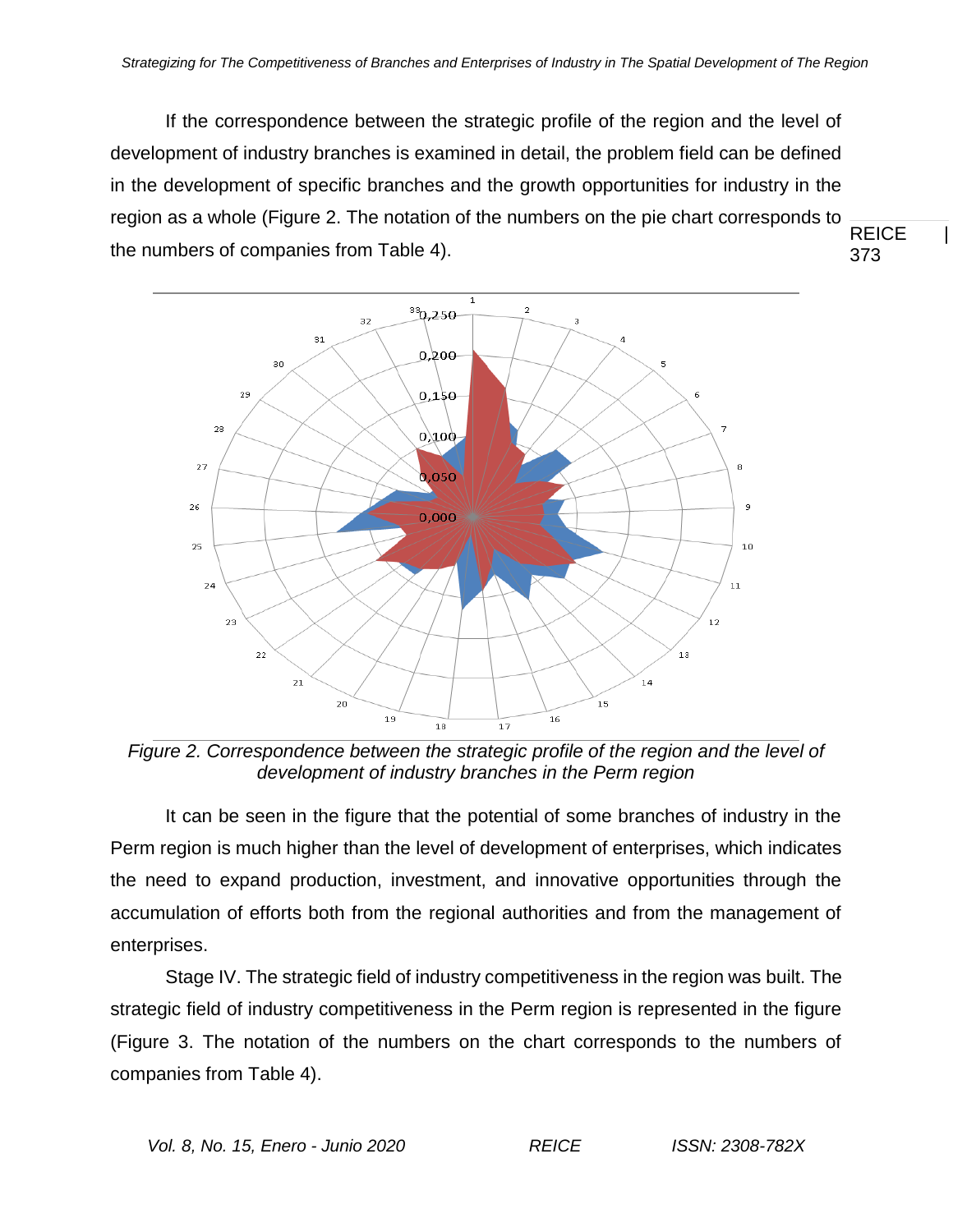**REICE** 373 If the correspondence between the strategic profile of the region and the level of development of industry branches is examined in detail, the problem field can be defined in the development of specific branches and the growth opportunities for industry in the region as a whole (Figure 2. The notation of the numbers on the pie chart corresponds to the numbers of companies from Table 4).



*Figure 2. Correspondence between the strategic profile of the region and the level of development of industry branches in the Perm region*

It can be seen in the figure that the potential of some branches of industry in the Perm region is much higher than the level of development of enterprises, which indicates the need to expand production, investment, and innovative opportunities through the accumulation of efforts both from the regional authorities and from the management of enterprises.

Stage IV. The strategic field of industry competitiveness in the region was built. The strategic field of industry competitiveness in the Perm region is represented in the figure (Figure 3. The notation of the numbers on the chart corresponds to the numbers of companies from Table 4).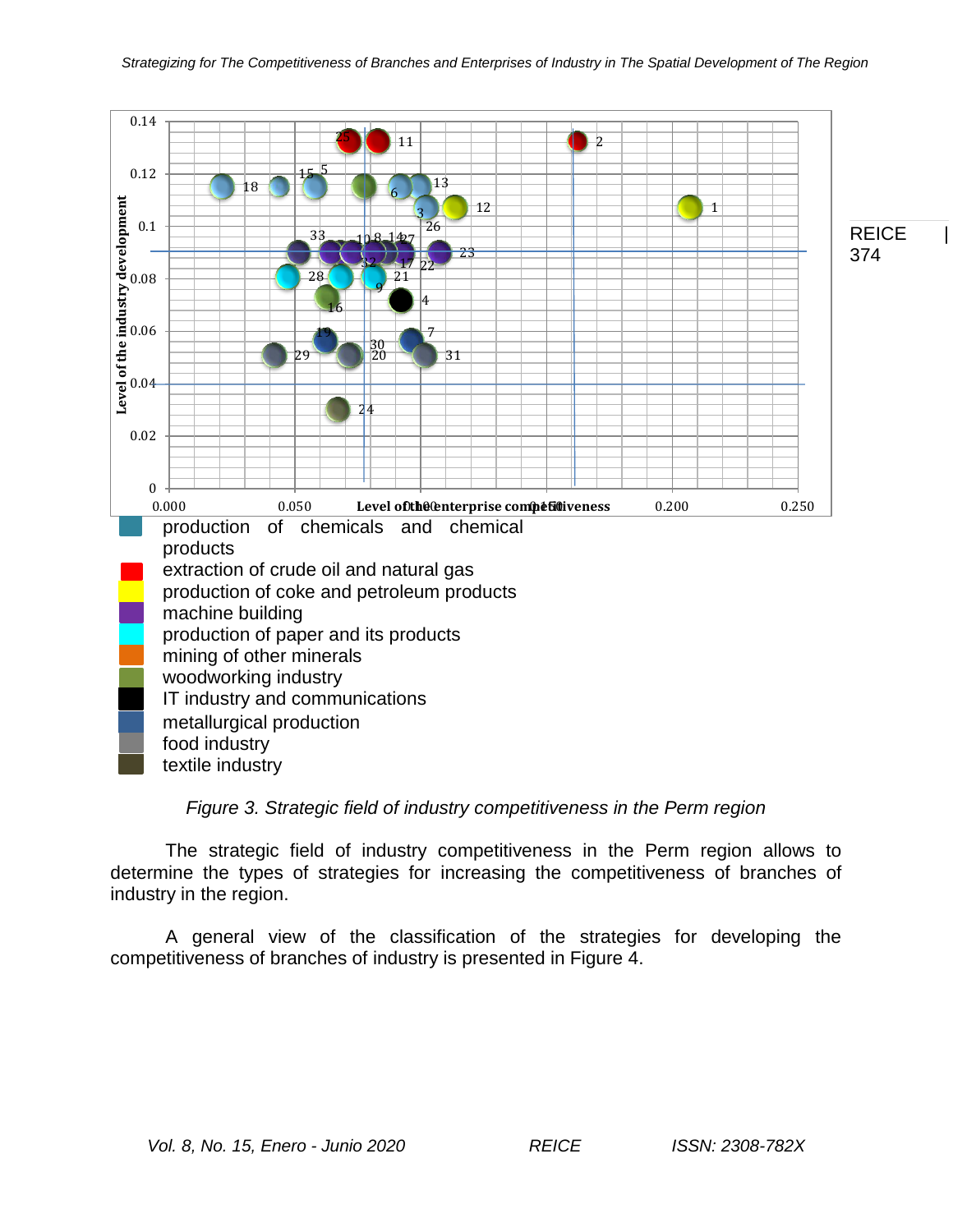

# *Figure 3. Strategic field of industry competitiveness in the Perm region*

The strategic field of industry competitiveness in the Perm region allows to determine the types of strategies for increasing the competitiveness of branches of industry in the region.

A general view of the classification of the strategies for developing the competitiveness of branches of industry is presented in Figure 4.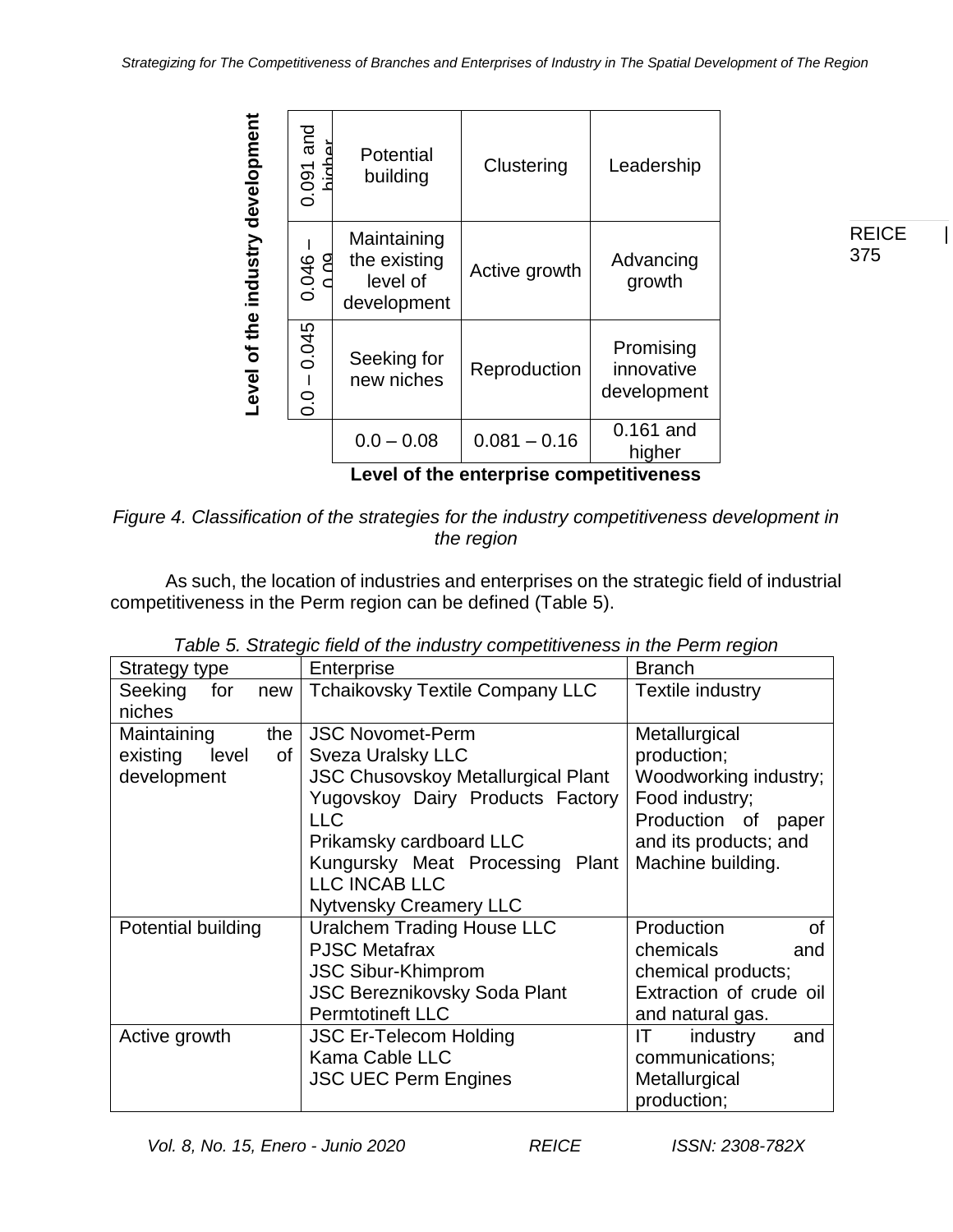|                                   | 0.091 and                               | Potential<br>building                                  | Clustering     | Leadership                             |  |  |  |  |
|-----------------------------------|-----------------------------------------|--------------------------------------------------------|----------------|----------------------------------------|--|--|--|--|
| Level of the industry development | 0.046                                   | Maintaining<br>the existing<br>level of<br>development | Active growth  | Advancing<br>growth                    |  |  |  |  |
|                                   | 0.045<br>$\mathbf I$<br>0.0             | Seeking for<br>new niches                              | Reproduction   | Promising<br>innovative<br>development |  |  |  |  |
|                                   |                                         | $0.0 - 0.08$                                           | $0.081 - 0.16$ | 0.161 and<br>higher                    |  |  |  |  |
|                                   | Level of the enterprise competitiveness |                                                        |                |                                        |  |  |  |  |

*Figure 4. Classification of the strategies for the industry competitiveness development in the region*

As such, the location of industries and enterprises on the strategic field of industrial competitiveness in the Perm region can be defined (Table 5).

| Strategy type           | Enterprise                                | <b>Branch</b>           |  |
|-------------------------|-------------------------------------------|-------------------------|--|
| Seeking<br>for<br>new   | <b>Tchaikovsky Textile Company LLC</b>    | Textile industry        |  |
| niches                  |                                           |                         |  |
| Maintaining<br>the      | <b>JSC Novomet-Perm</b>                   | Metallurgical           |  |
| existing<br>level<br>Οf | <b>Sveza Uralsky LLC</b>                  | production;             |  |
| development             | <b>JSC Chusovskoy Metallurgical Plant</b> | Woodworking industry;   |  |
|                         | Yugovskoy Dairy Products Factory          | Food industry;          |  |
|                         | <b>LLC</b>                                | Production of<br>paper  |  |
|                         | Prikamsky cardboard LLC                   | and its products; and   |  |
|                         | Kungursky Meat Processing Plant           | Machine building.       |  |
|                         | LLC INCAB LLC                             |                         |  |
|                         | <b>Nytvensky Creamery LLC</b>             |                         |  |
| Potential building      | <b>Uralchem Trading House LLC</b>         | Production<br>οf        |  |
|                         | <b>PJSC Metafrax</b>                      | chemicals<br>and        |  |
|                         | <b>JSC Sibur-Khimprom</b>                 | chemical products;      |  |
|                         | <b>JSC Bereznikovsky Soda Plant</b>       | Extraction of crude oil |  |
|                         | <b>Permtotineft LLC</b>                   | and natural gas.        |  |
| Active growth           | <b>JSC Er-Telecom Holding</b>             | industry<br>IT.<br>and  |  |
|                         | Kama Cable LLC                            | communications;         |  |
|                         | <b>JSC UEC Perm Engines</b>               | Metallurgical           |  |
|                         |                                           | production;             |  |

| Table 5. Strategic field of the industry competitiveness in the Perm region |  |
|-----------------------------------------------------------------------------|--|
|-----------------------------------------------------------------------------|--|

**REICE** 375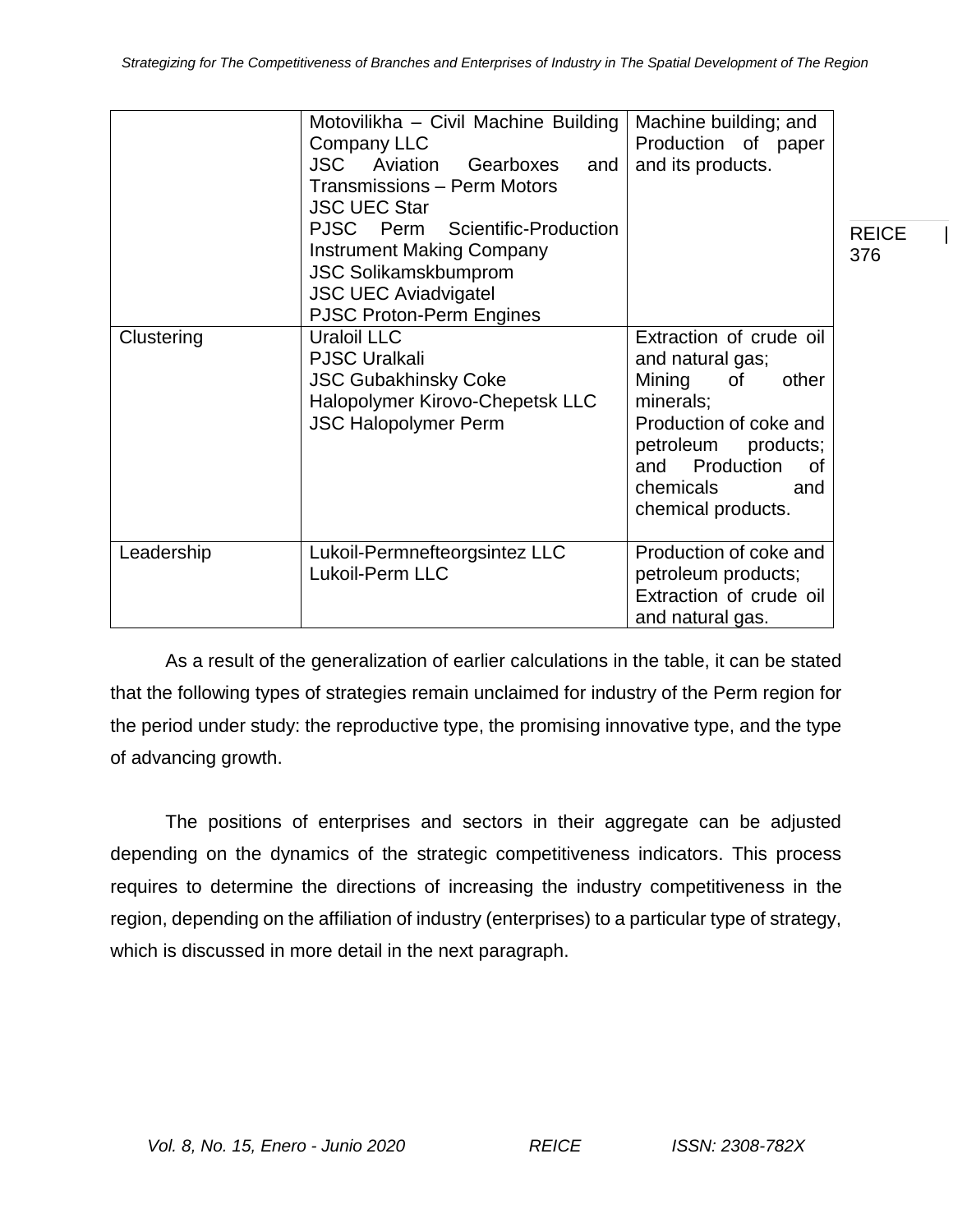|            | Motovilikha - Civil Machine Building<br>Company LLC<br><b>JSC</b><br>Aviation<br>Gearboxes<br>and<br>Transmissions - Perm Motors<br><b>JSC UEC Star</b>                 | Machine building; and<br>Production of paper<br>and its products.                                                                                                                                       |                     |
|------------|-------------------------------------------------------------------------------------------------------------------------------------------------------------------------|---------------------------------------------------------------------------------------------------------------------------------------------------------------------------------------------------------|---------------------|
|            | PJSC Perm<br>Scientific-Production<br><b>Instrument Making Company</b><br><b>JSC Solikamskbumprom</b><br><b>JSC UEC Aviadvigatel</b><br><b>PJSC Proton-Perm Engines</b> |                                                                                                                                                                                                         | <b>REICE</b><br>376 |
| Clustering | Uraloil LLC<br><b>PJSC Uralkali</b><br><b>JSC Gubakhinsky Coke</b><br>Halopolymer Kirovo-Chepetsk LLC<br><b>JSC Halopolymer Perm</b>                                    | Extraction of crude oil<br>and natural gas;<br>Mining<br>other<br>0f<br>minerals;<br>Production of coke and<br>petroleum products;<br>Production<br>and<br>0f<br>chemicals<br>and<br>chemical products. |                     |
| Leadership | Lukoil-Permnefteorgsintez LLC<br>Lukoil-Perm LLC                                                                                                                        | Production of coke and<br>petroleum products;<br>Extraction of crude oil<br>and natural gas.                                                                                                            |                     |

As a result of the generalization of earlier calculations in the table, it can be stated that the following types of strategies remain unclaimed for industry of the Perm region for the period under study: the reproductive type, the promising innovative type, and the type of advancing growth.

The positions of enterprises and sectors in their aggregate can be adjusted depending on the dynamics of the strategic competitiveness indicators. This process requires to determine the directions of increasing the industry competitiveness in the region, depending on the affiliation of industry (enterprises) to a particular type of strategy, which is discussed in more detail in the next paragraph.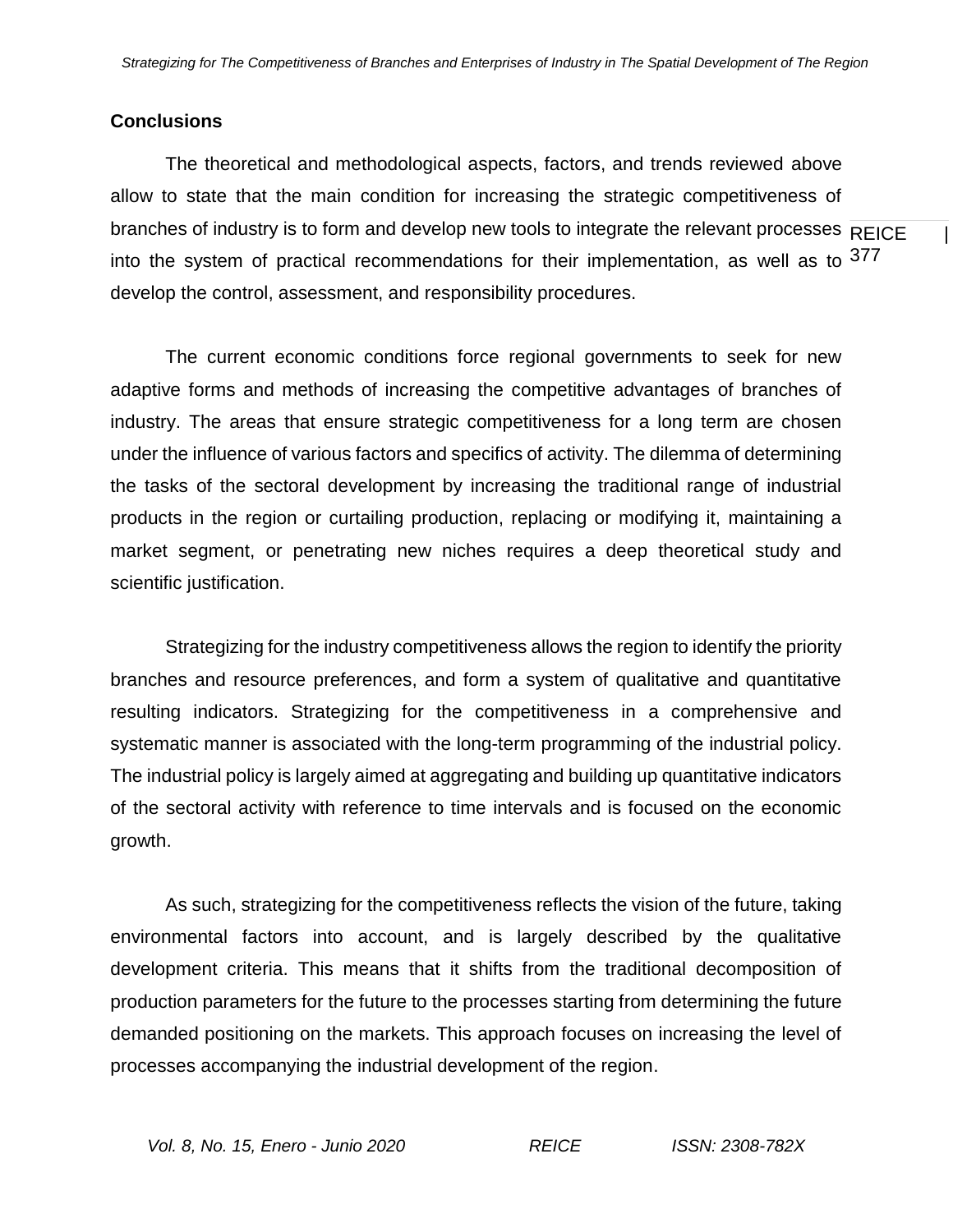# **Conclusions**

branches of industry is to form and develop new tools to integrate the relevant processes  $\overline{\mathsf{REICE}}$  | into the system of practical recommendations for their implementation, as well as to  $377$ The theoretical and methodological aspects, factors, and trends reviewed above allow to state that the main condition for increasing the strategic competitiveness of develop the control, assessment, and responsibility procedures.

The current economic conditions force regional governments to seek for new adaptive forms and methods of increasing the competitive advantages of branches of industry. The areas that ensure strategic competitiveness for a long term are chosen under the influence of various factors and specifics of activity. The dilemma of determining the tasks of the sectoral development by increasing the traditional range of industrial products in the region or curtailing production, replacing or modifying it, maintaining a market segment, or penetrating new niches requires a deep theoretical study and scientific justification.

Strategizing for the industry competitiveness allows the region to identify the priority branches and resource preferences, and form a system of qualitative and quantitative resulting indicators. Strategizing for the competitiveness in a comprehensive and systematic manner is associated with the long-term programming of the industrial policy. The industrial policy is largely aimed at aggregating and building up quantitative indicators of the sectoral activity with reference to time intervals and is focused on the economic growth.

As such, strategizing for the competitiveness reflects the vision of the future, taking environmental factors into account, and is largely described by the qualitative development criteria. This means that it shifts from the traditional decomposition of production parameters for the future to the processes starting from determining the future demanded positioning on the markets. This approach focuses on increasing the level of processes accompanying the industrial development of the region.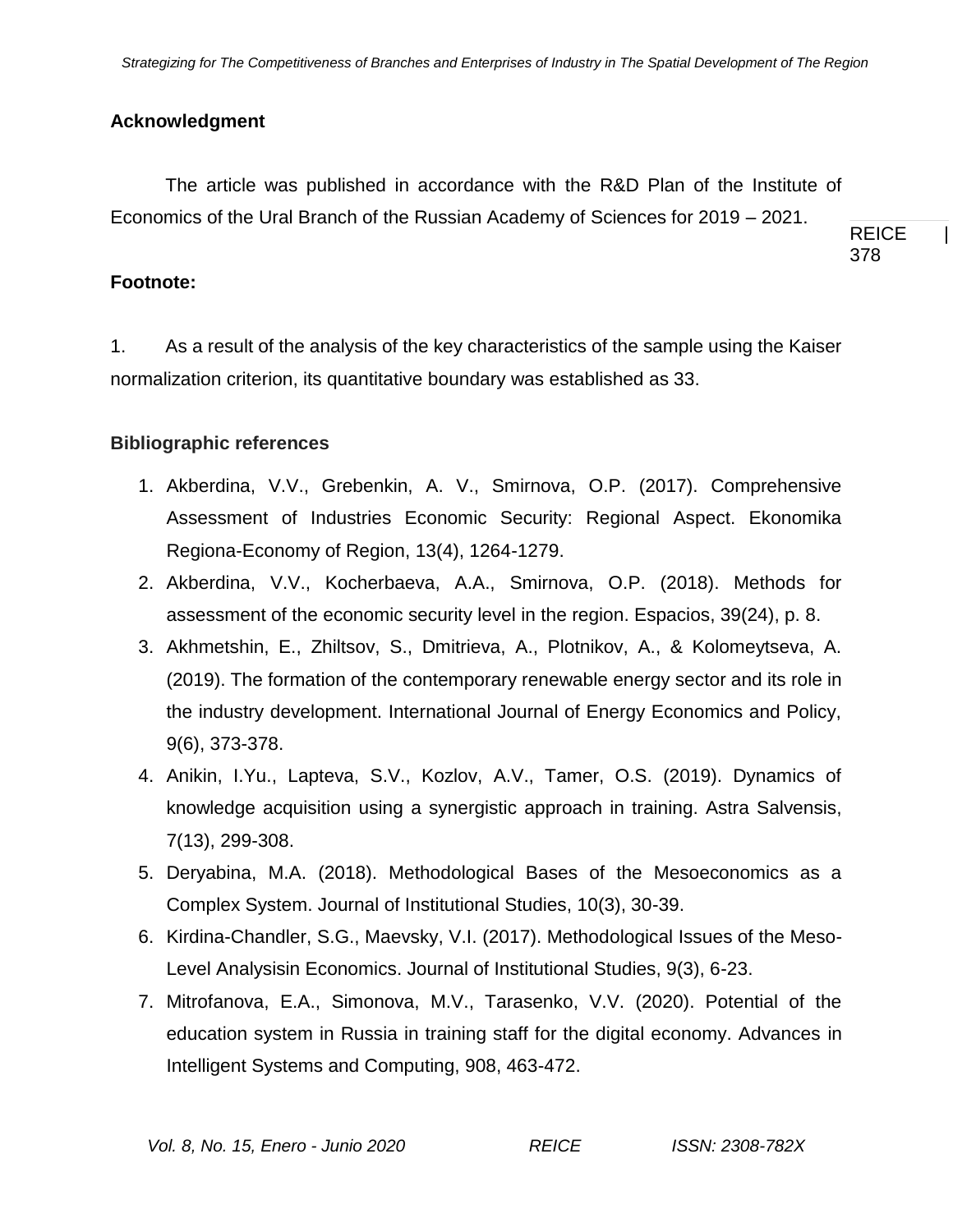# **Acknowledgment**

The article was published in accordance with the R&D Plan of the Institute of Economics of the Ural Branch of the Russian Academy of Sciences for 2019 – 2021.

REICE | 378

# **Footnote:**

1. As a result of the analysis of the key characteristics of the sample using the Kaiser normalization criterion, its quantitative boundary was established as 33.

# **Bibliographic references**

- 1. Akberdina, V.V., Grebenkin, A. V., Smirnova, O.P. (2017). Comprehensive Assessment of Industries Economic Security: Regional Aspect. Ekonomika Regiona-Economy of Region, 13(4), 1264-1279.
- 2. Akberdina, V.V., Kocherbaeva, A.A., Smirnova, O.P. (2018). Methods for assessment of the economic security level in the region. Espacios, 39(24), p. 8.
- 3. Akhmetshin, E., Zhiltsov, S., Dmitrieva, A., Plotnikov, A., & Kolomeytseva, A. (2019). The formation of the contemporary renewable energy sector and its role in the industry development. International Journal of Energy Economics and Policy, 9(6), 373-378.
- 4. Anikin, I.Yu., Lapteva, S.V., Kozlov, A.V., Tamer, O.S. (2019). Dynamics of knowledge acquisition using a synergistic approach in training. Astra Salvensis, 7(13), 299-308.
- 5. Deryabina, M.A. (2018). Methodological Bases of the Mesoeconomics as a Complex System. Journal of Institutional Studies, 10(3), 30-39.
- 6. Kirdina-Chandler, S.G., Maevsky, V.I. (2017). Methodological Issues of the Meso-Level Analysisin Economics. Journal of Institutional Studies, 9(3), 6-23.
- 7. Mitrofanova, E.A., Simonova, M.V., Tarasenko, V.V. (2020). Potential of the education system in Russia in training staff for the digital economy. Advances in Intelligent Systems and Computing, 908, 463-472.